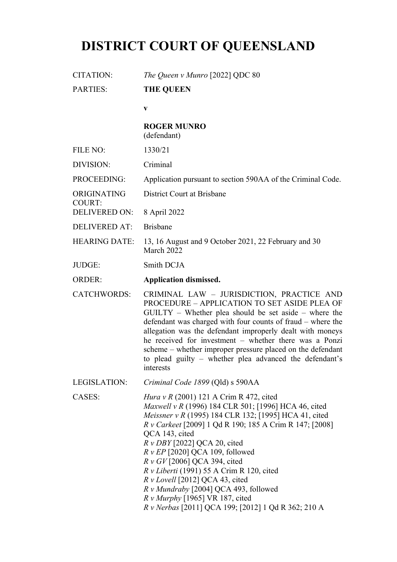# **DISTRICT COURT OF QUEENSLAND**

COURT:

CITATION: *The Queen v Munro* [2022] QDC 80

PARTIES: **THE QUEEN**

**v**

# **ROGER MUNRO**

(defendant)

| FILE NO: | 1330/21 |
|----------|---------|
|          |         |

- DIVISION: Criminal
- PROCEEDING: Application pursuant to section 590AA of the Criminal Code.
- ORIGINATING District Court at Brisbane
- DELIVERED ON: 8 April 2022
- DELIVERED AT: Brisbane
- HEARING DATE: 13, 16 August and 9 October 2021, 22 February and 30 March 2022
- JUDGE: Smith DCJA
- ORDER: **Application dismissed.**
- CATCHWORDS: CRIMINAL LAW JURISDICTION, PRACTICE AND PROCEDURE – APPLICATION TO SET ASIDE PLEA OF GUILTY – Whether plea should be set aside – where the defendant was charged with four counts of fraud – where the allegation was the defendant improperly dealt with moneys he received for investment – whether there was a Ponzi scheme – whether improper pressure placed on the defendant to plead guilty – whether plea advanced the defendant's interests
- LEGISLATION: *Criminal Code 1899* (Qld) s 590AA

CASES: *Hura v R* (2001) 121 A Crim R 472, cited *Maxwell v R* (1996) 184 CLR 501; [1996] HCA 46, cited *Meissner v R* (1995) 184 CLR 132; [1995] HCA 41, cited *R v Carkeet* [2009] 1 Qd R 190; 185 A Crim R 147; [2008] QCA 143, cited *R v DBY* [2022] QCA 20, cited *R v EP* [2020] QCA 109, followed *R v GV* [2006] QCA 394, cited *R v Liberti* (1991) 55 A Crim R 120, cited *R v Lovell* [2012] QCA 43, cited *R v Mundraby* [2004] QCA 493, followed *R v Murphy* [1965] VR 187, cited *R v Nerbas* [2011] QCA 199; [2012] 1 Qd R 362; 210 A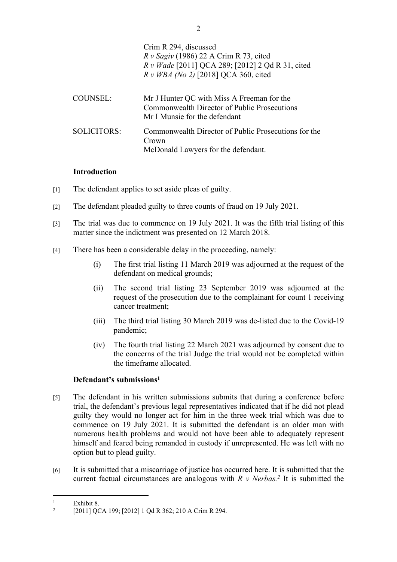|                 | Crim R 294, discussed<br>$R v$ Sagiv (1986) 22 A Crim R 73, cited<br>R v Wade [2011] QCA 289; [2012] 2 Qd R 31, cited<br>$R \nu$ WBA (No 2) [2018] QCA 360, cited |
|-----------------|-------------------------------------------------------------------------------------------------------------------------------------------------------------------|
| <b>COUNSEL:</b> | Mr J Hunter QC with Miss A Freeman for the<br>Commonwealth Director of Public Prosecutions<br>Mr I Munsie for the defendant                                       |
| SOLICITORS:     | Commonwealth Director of Public Prosecutions for the<br>Crown<br>McDonald Lawyers for the defendant.                                                              |

# **Introduction**

- [1] The defendant applies to set aside pleas of guilty.
- [2] The defendant pleaded guilty to three counts of fraud on 19 July 2021.
- [3] The trial was due to commence on 19 July 2021. It was the fifth trial listing of this matter since the indictment was presented on 12 March 2018.
- [4] There has been a considerable delay in the proceeding, namely:
	- (i) The first trial listing 11 March 2019 was adjourned at the request of the defendant on medical grounds;
	- (ii) The second trial listing 23 September 2019 was adjourned at the request of the prosecution due to the complainant for count 1 receiving cancer treatment;
	- (iii) The third trial listing 30 March 2019 was de-listed due to the Covid-19 pandemic;
	- (iv) The fourth trial listing 22 March 2021 was adjourned by consent due to the concerns of the trial Judge the trial would not be completed within the timeframe allocated.

# **Defendant's submissions<sup>1</sup>**

- [5] The defendant in his written submissions submits that during a conference before trial, the defendant's previous legal representatives indicated that if he did not plead guilty they would no longer act for him in the three week trial which was due to commence on 19 July 2021. It is submitted the defendant is an older man with numerous health problems and would not have been able to adequately represent himself and feared being remanded in custody if unrepresented. He was left with no option but to plead guilty.
- [6] It is submitted that a miscarriage of justice has occurred here. It is submitted that the current factual circumstances are analogous with  $R$  v Nerbas.<sup>2</sup> It is submitted the

<sup>1</sup> Exhibit 8.

 $\overline{2}$ [2011] QCA 199; [2012] 1 Qd R 362; 210 A Crim R 294.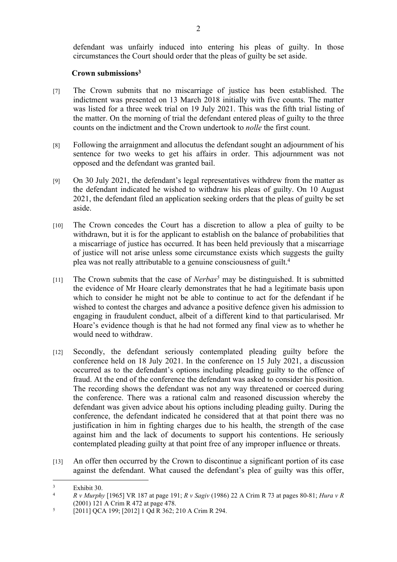defendant was unfairly induced into entering his pleas of guilty. In those circumstances the Court should order that the pleas of guilty be set aside.

# **Crown submissions<sup>3</sup>**

- [7] The Crown submits that no miscarriage of justice has been established. The indictment was presented on 13 March 2018 initially with five counts. The matter was listed for a three week trial on 19 July 2021. This was the fifth trial listing of the matter. On the morning of trial the defendant entered pleas of guilty to the three counts on the indictment and the Crown undertook to *nolle* the first count.
- [8] Following the arraignment and allocutus the defendant sought an adjournment of his sentence for two weeks to get his affairs in order. This adjournment was not opposed and the defendant was granted bail.
- [9] On 30 July 2021, the defendant's legal representatives withdrew from the matter as the defendant indicated he wished to withdraw his pleas of guilty. On 10 August 2021, the defendant filed an application seeking orders that the pleas of guilty be set aside.
- [10] The Crown concedes the Court has a discretion to allow a plea of guilty to be withdrawn, but it is for the applicant to establish on the balance of probabilities that a miscarriage of justice has occurred. It has been held previously that a miscarriage of justice will not arise unless some circumstance exists which suggests the guilty plea was not really attributable to a genuine consciousness of guilt.<sup>4</sup>
- [11] The Crown submits that the case of *Nerbas<sup>5</sup>* may be distinguished. It is submitted the evidence of Mr Hoare clearly demonstrates that he had a legitimate basis upon which to consider he might not be able to continue to act for the defendant if he wished to contest the charges and advance a positive defence given his admission to engaging in fraudulent conduct, albeit of a different kind to that particularised. Mr Hoare's evidence though is that he had not formed any final view as to whether he would need to withdraw.
- [12] Secondly, the defendant seriously contemplated pleading guilty before the conference held on 18 July 2021. In the conference on 15 July 2021, a discussion occurred as to the defendant's options including pleading guilty to the offence of fraud. At the end of the conference the defendant was asked to consider his position. The recording shows the defendant was not any way threatened or coerced during the conference. There was a rational calm and reasoned discussion whereby the defendant was given advice about his options including pleading guilty. During the conference, the defendant indicated he considered that at that point there was no justification in him in fighting charges due to his health, the strength of the case against him and the lack of documents to support his contentions. He seriously contemplated pleading guilty at that point free of any improper influence or threats.
- [13] An offer then occurred by the Crown to discontinue a significant portion of its case against the defendant. What caused the defendant's plea of guilty was this offer,

<sup>3</sup>  $\frac{3}{4}$  Exhibit 30.

<sup>4</sup> *R v Murphy* [1965] VR 187 at page 191; *R v Sagiv* (1986) 22 A Crim R 73 at pages 80-81; *Hura v R* (2001) 121 A Crim R 472 at page 478.

<sup>5</sup> [2011] QCA 199; [2012] 1 Qd R 362; 210 A Crim R 294.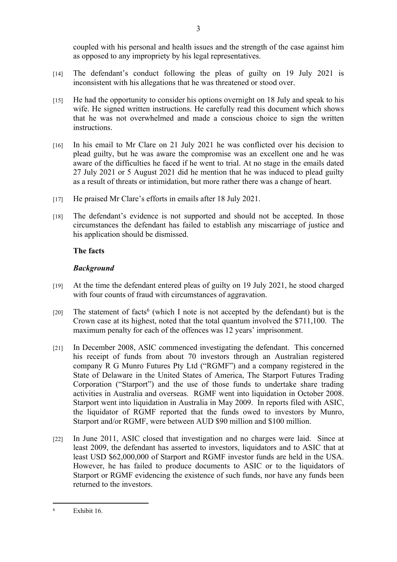coupled with his personal and health issues and the strength of the case against him as opposed to any impropriety by his legal representatives.

- [14] The defendant's conduct following the pleas of guilty on 19 July 2021 is inconsistent with his allegations that he was threatened or stood over.
- [15] He had the opportunity to consider his options overnight on 18 July and speak to his wife. He signed written instructions. He carefully read this document which shows that he was not overwhelmed and made a conscious choice to sign the written instructions.
- [16] In his email to Mr Clare on 21 July 2021 he was conflicted over his decision to plead guilty, but he was aware the compromise was an excellent one and he was aware of the difficulties he faced if he went to trial. At no stage in the emails dated 27 July 2021 or 5 August 2021 did he mention that he was induced to plead guilty as a result of threats or intimidation, but more rather there was a change of heart.
- [17] He praised Mr Clare's efforts in emails after 18 July 2021.
- [18] The defendant's evidence is not supported and should not be accepted. In those circumstances the defendant has failed to establish any miscarriage of justice and his application should be dismissed.

# **The facts**

# *Background*

- [19] At the time the defendant entered pleas of guilty on 19 July 2021, he stood charged with four counts of fraud with circumstances of aggravation.
- [20] The statement of facts<sup>6</sup> (which I note is not accepted by the defendant) but is the Crown case at its highest, noted that the total quantum involved the \$711,100. The maximum penalty for each of the offences was 12 years' imprisonment.
- [21] In December 2008, ASIC commenced investigating the defendant. This concerned his receipt of funds from about 70 investors through an Australian registered company R G Munro Futures Pty Ltd ("RGMF") and a company registered in the State of Delaware in the United States of America, The Starport Futures Trading Corporation ("Starport") and the use of those funds to undertake share trading activities in Australia and overseas. RGMF went into liquidation in October 2008. Starport went into liquidation in Australia in May 2009. In reports filed with ASIC, the liquidator of RGMF reported that the funds owed to investors by Munro, Starport and/or RGMF, were between AUD \$90 million and \$100 million.
- [22] In June 2011, ASIC closed that investigation and no charges were laid. Since at least 2009, the defendant has asserted to investors, liquidators and to ASIC that at least USD \$62,000,000 of Starport and RGMF investor funds are held in the USA. However, he has failed to produce documents to ASIC or to the liquidators of Starport or RGMF evidencing the existence of such funds, nor have any funds been returned to the investors.

<sup>6</sup> Exhibit 16.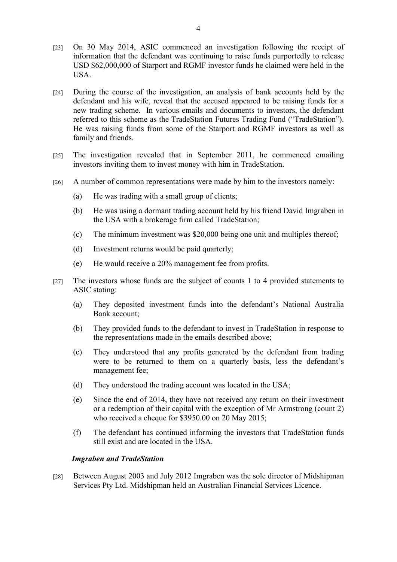- [23] On 30 May 2014, ASIC commenced an investigation following the receipt of information that the defendant was continuing to raise funds purportedly to release USD \$62,000,000 of Starport and RGMF investor funds he claimed were held in the USA.
- [24] During the course of the investigation, an analysis of bank accounts held by the defendant and his wife, reveal that the accused appeared to be raising funds for a new trading scheme. In various emails and documents to investors, the defendant referred to this scheme as the TradeStation Futures Trading Fund ("TradeStation"). He was raising funds from some of the Starport and RGMF investors as well as family and friends.
- [25] The investigation revealed that in September 2011, he commenced emailing investors inviting them to invest money with him in TradeStation.
- [26] A number of common representations were made by him to the investors namely:
	- (a) He was trading with a small group of clients;
	- (b) He was using a dormant trading account held by his friend David Imgraben in the USA with a brokerage firm called TradeStation;
	- (c) The minimum investment was \$20,000 being one unit and multiples thereof;
	- (d) Investment returns would be paid quarterly;
	- (e) He would receive a 20% management fee from profits.
- [27] The investors whose funds are the subject of counts 1 to 4 provided statements to ASIC stating:
	- (a) They deposited investment funds into the defendant's National Australia Bank account;
	- (b) They provided funds to the defendant to invest in TradeStation in response to the representations made in the emails described above;
	- (c) They understood that any profits generated by the defendant from trading were to be returned to them on a quarterly basis, less the defendant's management fee;
	- (d) They understood the trading account was located in the USA;
	- (e) Since the end of 2014, they have not received any return on their investment or a redemption of their capital with the exception of Mr Armstrong (count 2) who received a cheque for \$3950.00 on 20 May 2015;
	- (f) The defendant has continued informing the investors that TradeStation funds still exist and are located in the USA.

#### *Imgraben and TradeStation*

[28] Between August 2003 and July 2012 Imgraben was the sole director of Midshipman Services Pty Ltd. Midshipman held an Australian Financial Services Licence.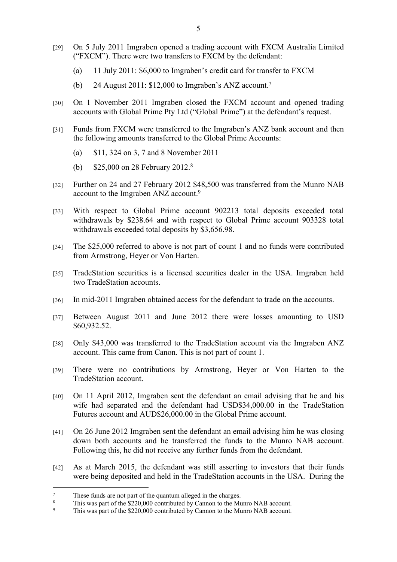- [29] On 5 July 2011 Imgraben opened a trading account with FXCM Australia Limited ("FXCM"). There were two transfers to FXCM by the defendant:
	- (a) 11 July 2011: \$6,000 to Imgraben's credit card for transfer to FXCM
	- (b) 24 August 2011: \$12,000 to Imgraben's ANZ account.<sup>7</sup>
- [30] On 1 November 2011 Imgraben closed the FXCM account and opened trading accounts with Global Prime Pty Ltd ("Global Prime") at the defendant's request.
- [31] Funds from FXCM were transferred to the Imgraben's ANZ bank account and then the following amounts transferred to the Global Prime Accounts:
	- (a) \$11, 324 on 3, 7 and 8 November 2011
	- (b) \$25,000 on 28 February 2012.<sup>8</sup>
- [32] Further on 24 and 27 February 2012 \$48,500 was transferred from the Munro NAB account to the Imgraben ANZ account.<sup>9</sup>
- [33] With respect to Global Prime account 902213 total deposits exceeded total withdrawals by \$238.64 and with respect to Global Prime account 903328 total withdrawals exceeded total deposits by \$3,656.98.
- [34] The \$25,000 referred to above is not part of count 1 and no funds were contributed from Armstrong, Heyer or Von Harten.
- [35] TradeStation securities is a licensed securities dealer in the USA. Imgraben held two TradeStation accounts.
- [36] In mid-2011 Imgraben obtained access for the defendant to trade on the accounts.
- [37] Between August 2011 and June 2012 there were losses amounting to USD \$60,932.52.
- [38] Only \$43,000 was transferred to the TradeStation account via the Imgraben ANZ account. This came from Canon. This is not part of count 1.
- [39] There were no contributions by Armstrong, Heyer or Von Harten to the TradeStation account.
- [40] On 11 April 2012, Imgraben sent the defendant an email advising that he and his wife had separated and the defendant had USD\$34,000.00 in the TradeStation Futures account and AUD\$26,000.00 in the Global Prime account.
- [41] On 26 June 2012 Imgraben sent the defendant an email advising him he was closing down both accounts and he transferred the funds to the Munro NAB account. Following this, he did not receive any further funds from the defendant.
- [42] As at March 2015, the defendant was still asserting to investors that their funds were being deposited and held in the TradeStation accounts in the USA. During the

<sup>7</sup> These funds are not part of the quantum alleged in the charges.

<sup>8</sup> This was part of the \$220,000 contributed by Cannon to the Munro NAB account.

<sup>9</sup> This was part of the \$220,000 contributed by Cannon to the Munro NAB account.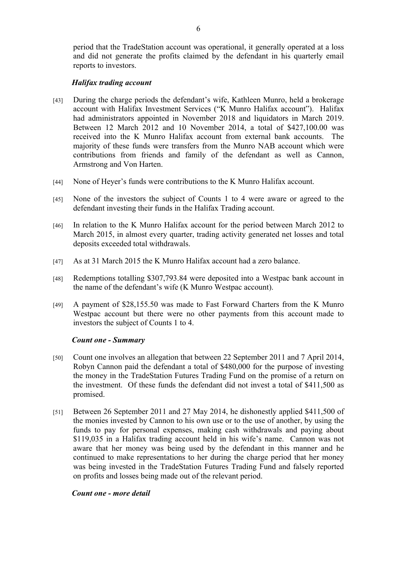period that the TradeStation account was operational, it generally operated at a loss and did not generate the profits claimed by the defendant in his quarterly email reports to investors.

# *Halifax trading account*

- [43] During the charge periods the defendant's wife, Kathleen Munro, held a brokerage account with Halifax Investment Services ("K Munro Halifax account"). Halifax had administrators appointed in November 2018 and liquidators in March 2019. Between 12 March 2012 and 10 November 2014, a total of \$427,100.00 was received into the K Munro Halifax account from external bank accounts. The majority of these funds were transfers from the Munro NAB account which were contributions from friends and family of the defendant as well as Cannon, Armstrong and Von Harten.
- [44] None of Heyer's funds were contributions to the K Munro Halifax account.
- [45] None of the investors the subject of Counts 1 to 4 were aware or agreed to the defendant investing their funds in the Halifax Trading account.
- [46] In relation to the K Munro Halifax account for the period between March 2012 to March 2015, in almost every quarter, trading activity generated net losses and total deposits exceeded total withdrawals.
- [47] As at 31 March 2015 the K Munro Halifax account had a zero balance.
- [48] Redemptions totalling \$307,793.84 were deposited into a Westpac bank account in the name of the defendant's wife (K Munro Westpac account).
- [49] A payment of \$28,155.50 was made to Fast Forward Charters from the K Munro Westpac account but there were no other payments from this account made to investors the subject of Counts 1 to 4.

# *Count one - Summary*

- [50] Count one involves an allegation that between 22 September 2011 and 7 April 2014, Robyn Cannon paid the defendant a total of \$480,000 for the purpose of investing the money in the TradeStation Futures Trading Fund on the promise of a return on the investment. Of these funds the defendant did not invest a total of \$411,500 as promised.
- [51] Between 26 September 2011 and 27 May 2014, he dishonestly applied \$411,500 of the monies invested by Cannon to his own use or to the use of another, by using the funds to pay for personal expenses, making cash withdrawals and paying about \$119,035 in a Halifax trading account held in his wife's name. Cannon was not aware that her money was being used by the defendant in this manner and he continued to make representations to her during the charge period that her money was being invested in the TradeStation Futures Trading Fund and falsely reported on profits and losses being made out of the relevant period.

# *Count one - more detail*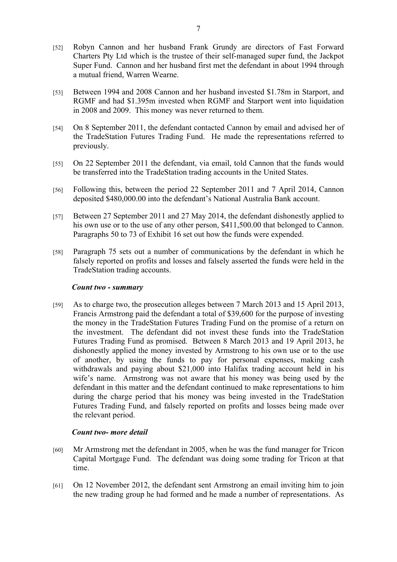- [52] Robyn Cannon and her husband Frank Grundy are directors of Fast Forward Charters Pty Ltd which is the trustee of their self-managed super fund, the Jackpot Super Fund. Cannon and her husband first met the defendant in about 1994 through a mutual friend, Warren Wearne.
- [53] Between 1994 and 2008 Cannon and her husband invested \$1.78m in Starport, and RGMF and had \$1.395m invested when RGMF and Starport went into liquidation in 2008 and 2009. This money was never returned to them.
- [54] On 8 September 2011, the defendant contacted Cannon by email and advised her of the TradeStation Futures Trading Fund. He made the representations referred to previously.
- [55] On 22 September 2011 the defendant, via email, told Cannon that the funds would be transferred into the TradeStation trading accounts in the United States.
- [56] Following this, between the period 22 September 2011 and 7 April 2014, Cannon deposited \$480,000.00 into the defendant's National Australia Bank account.
- [57] Between 27 September 2011 and 27 May 2014, the defendant dishonestly applied to his own use or to the use of any other person, \$411,500.00 that belonged to Cannon. Paragraphs 50 to 73 of Exhibit 16 set out how the funds were expended.
- [58] Paragraph 75 sets out a number of communications by the defendant in which he falsely reported on profits and losses and falsely asserted the funds were held in the TradeStation trading accounts.

# *Count two - summary*

[59] As to charge two, the prosecution alleges between 7 March 2013 and 15 April 2013, Francis Armstrong paid the defendant a total of \$39,600 for the purpose of investing the money in the TradeStation Futures Trading Fund on the promise of a return on the investment. The defendant did not invest these funds into the TradeStation Futures Trading Fund as promised. Between 8 March 2013 and 19 April 2013, he dishonestly applied the money invested by Armstrong to his own use or to the use of another, by using the funds to pay for personal expenses, making cash withdrawals and paying about \$21,000 into Halifax trading account held in his wife's name. Armstrong was not aware that his money was being used by the defendant in this matter and the defendant continued to make representations to him during the charge period that his money was being invested in the TradeStation Futures Trading Fund, and falsely reported on profits and losses being made over the relevant period.

# *Count two- more detail*

- [60] Mr Armstrong met the defendant in 2005, when he was the fund manager for Tricon Capital Mortgage Fund. The defendant was doing some trading for Tricon at that time.
- [61] On 12 November 2012, the defendant sent Armstrong an email inviting him to join the new trading group he had formed and he made a number of representations. As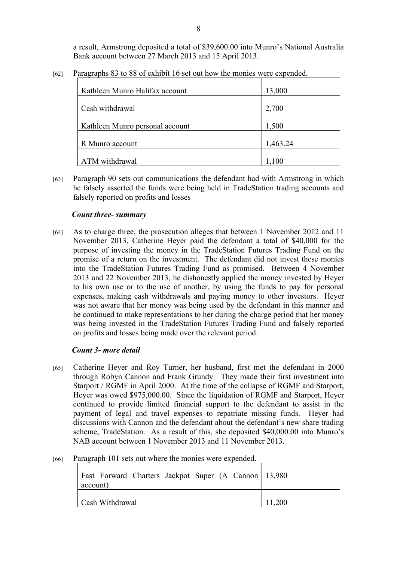a result, Armstrong deposited a total of \$39,600.00 into Munro's National Australia Bank account between 27 March 2013 and 15 April 2013.

| [62] | Paragraphs 83 to 88 of exhibit 16 set out how the monies were expended. |  |  |
|------|-------------------------------------------------------------------------|--|--|
|      |                                                                         |  |  |

| Kathleen Munro Halifax account  | 13,000   |
|---------------------------------|----------|
| Cash withdrawal                 | 2,700    |
| Kathleen Munro personal account | 1,500    |
| R Munro account                 | 1,463.24 |
| ATM withdrawal                  | 1,100    |

[63] Paragraph 90 sets out communications the defendant had with Armstrong in which he falsely asserted the funds were being held in TradeStation trading accounts and falsely reported on profits and losses

# *Count three- summary*

[64] As to charge three, the prosecution alleges that between 1 November 2012 and 11 November 2013, Catherine Heyer paid the defendant a total of \$40,000 for the purpose of investing the money in the TradeStation Futures Trading Fund on the promise of a return on the investment. The defendant did not invest these monies into the TradeStation Futures Trading Fund as promised. Between 4 November 2013 and 22 November 2013, he dishonestly applied the money invested by Heyer to his own use or to the use of another, by using the funds to pay for personal expenses, making cash withdrawals and paying money to other investors. Heyer was not aware that her money was being used by the defendant in this manner and he continued to make representations to her during the charge period that her money was being invested in the TradeStation Futures Trading Fund and falsely reported on profits and losses being made over the relevant period.

# *Count 3- more detail*

- [65] Catherine Heyer and Roy Turner, her husband, first met the defendant in 2000 through Robyn Cannon and Frank Grundy. They made their first investment into Starport / RGMF in April 2000. At the time of the collapse of RGMF and Starport, Heyer was owed \$975,000.00. Since the liquidation of RGMF and Starport, Heyer continued to provide limited financial support to the defendant to assist in the payment of legal and travel expenses to repatriate missing funds. Heyer had discussions with Cannon and the defendant about the defendant's new share trading scheme, TradeStation. As a result of this, she deposited \$40,000.00 into Munro's NAB account between 1 November 2013 and 11 November 2013.
- [66] Paragraph 101 sets out where the monies were expended.

| Fast Forward Charters Jackpot Super (A Cannon   13,980<br>account) |        |
|--------------------------------------------------------------------|--------|
| Cash Withdrawal                                                    | 11,200 |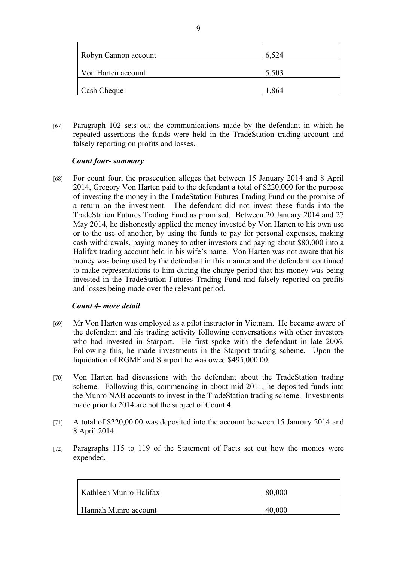| Robyn Cannon account | 6,524 |
|----------------------|-------|
| Von Harten account   | 5,503 |
| Cash Cheque          | 1,864 |

[67] Paragraph 102 sets out the communications made by the defendant in which he repeated assertions the funds were held in the TradeStation trading account and falsely reporting on profits and losses.

# *Count four- summary*

[68] For count four, the prosecution alleges that between 15 January 2014 and 8 April 2014, Gregory Von Harten paid to the defendant a total of \$220,000 for the purpose of investing the money in the TradeStation Futures Trading Fund on the promise of a return on the investment. The defendant did not invest these funds into the TradeStation Futures Trading Fund as promised. Between 20 January 2014 and 27 May 2014, he dishonestly applied the money invested by Von Harten to his own use or to the use of another, by using the funds to pay for personal expenses, making cash withdrawals, paying money to other investors and paying about \$80,000 into a Halifax trading account held in his wife's name. Von Harten was not aware that his money was being used by the defendant in this manner and the defendant continued to make representations to him during the charge period that his money was being invested in the TradeStation Futures Trading Fund and falsely reported on profits and losses being made over the relevant period.

# *Count 4- more detail*

- [69] Mr Von Harten was employed as a pilot instructor in Vietnam. He became aware of the defendant and his trading activity following conversations with other investors who had invested in Starport. He first spoke with the defendant in late 2006. Following this, he made investments in the Starport trading scheme. Upon the liquidation of RGMF and Starport he was owed \$495,000.00.
- [70] Von Harten had discussions with the defendant about the TradeStation trading scheme. Following this, commencing in about mid-2011, he deposited funds into the Munro NAB accounts to invest in the TradeStation trading scheme. Investments made prior to 2014 are not the subject of Count 4.
- [71] A total of \$220,00.00 was deposited into the account between 15 January 2014 and 8 April 2014.
- [72] Paragraphs 115 to 119 of the Statement of Facts set out how the monies were expended.

| Kathleen Munro Halifax | 80,000 |
|------------------------|--------|
| Hannah Munro account   | 40,000 |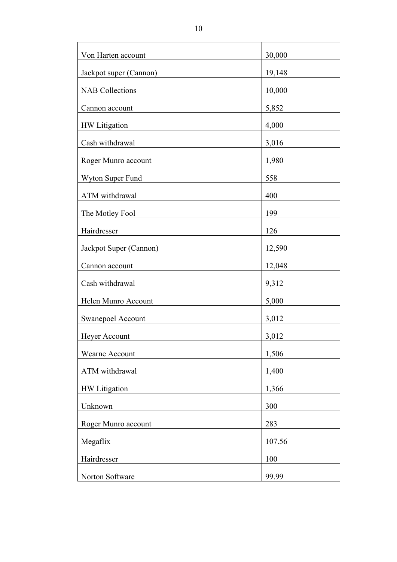| Von Harten account     | 30,000 |
|------------------------|--------|
| Jackpot super (Cannon) | 19,148 |
| <b>NAB Collections</b> | 10,000 |
| Cannon account         | 5,852  |
| HW Litigation          | 4,000  |
| Cash withdrawal        | 3,016  |
| Roger Munro account    | 1,980  |
| Wyton Super Fund       | 558    |
| ATM withdrawal         | 400    |
| The Motley Fool        | 199    |
| Hairdresser            | 126    |
| Jackpot Super (Cannon) | 12,590 |
| Cannon account         | 12,048 |
| Cash withdrawal        | 9,312  |
| Helen Munro Account    | 5,000  |
| Swanepoel Account      | 3,012  |
| Heyer Account          | 3,012  |
| Wearne Account         | 1,506  |
| ATM withdrawal         | 1,400  |
| HW Litigation          | 1,366  |
| Unknown                | 300    |
| Roger Munro account    | 283    |
| Megaflix               | 107.56 |
| Hairdresser            | 100    |
| Norton Software        | 99.99  |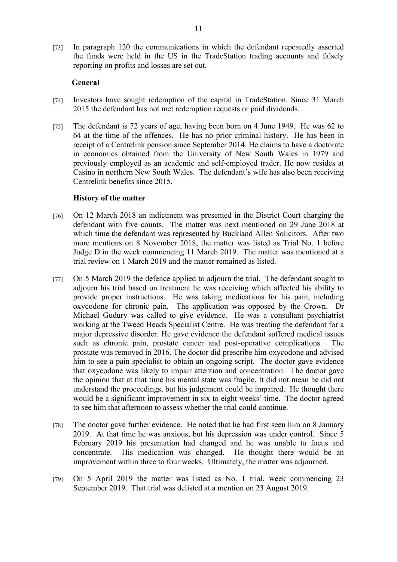[73] In paragraph 120 the communications in which the defendant repeatedly asserted the funds were held in the US in the TradeStation trading accounts and falsely reporting on profits and losses are set out.

#### **General**

- [74] Investors have sought redemption of the capital in TradeStation. Since 31 March 2015 the defendant has not met redemption requests or paid dividends.
- [75] The defendant is 72 years of age, having been born on 4 June 1949. He was 62 to 64 at the time of the offences. He has no prior criminal history. He has been in receipt of a Centrelink pension since September 2014. He claims to have a doctorate in economics obtained from the University of New South Wales in 1979 and previously employed as an academic and self-employed trader. He now resides at Casino in northern New South Wales. The defendant's wife has also been receiving Centrelink benefits since 2015.

#### **History of the matter**

- [76] On 12 March 2018 an indictment was presented in the District Court charging the defendant with five counts. The matter was next mentioned on 29 June 2018 at which time the defendant was represented by Buckland Allen Solicitors. After two more mentions on 8 November 2018, the matter was listed as Trial No. 1 before Judge D in the week commencing 11 March 2019. The matter was mentioned at a trial review on 1 March 2019 and the matter remained as listed.
- [77] On 5 March 2019 the defence applied to adjourn the trial. The defendant sought to adjourn his trial based on treatment he was receiving which affected his ability to provide proper instructions. He was taking medications for his pain, including oxycodone for chronic pain. The application was opposed by the Crown. Dr Michael Gudury was called to give evidence. He was a consultant psychiatrist working at the Tweed Heads Specialist Centre. He was treating the defendant for a major depressive disorder. He gave evidence the defendant suffered medical issues such as chronic pain, prostate cancer and post-operative complications. The prostate was removed in 2016. The doctor did prescribe him oxycodone and advised him to see a pain specialist to obtain an ongoing script. The doctor gave evidence that oxycodone was likely to impair attention and concentration. The doctor gave the opinion that at that time his mental state was fragile. It did not mean he did not understand the proceedings, but his judgement could be impaired. He thought there would be a significant improvement in six to eight weeks' time. The doctor agreed to see him that afternoon to assess whether the trial could continue.
- [78] The doctor gave further evidence. He noted that he had first seen him on 8 January 2019. At that time he was anxious, but his depression was under control. Since 5 February 2019 his presentation had changed and he was unable to focus and concentrate. His medication was changed. He thought there would be an improvement within three to four weeks. Ultimately, the matter was adjourned.
- [79] On 5 April 2019 the matter was listed as No. 1 trial, week commencing 23 September 2019. That trial was delisted at a mention on 23 August 2019.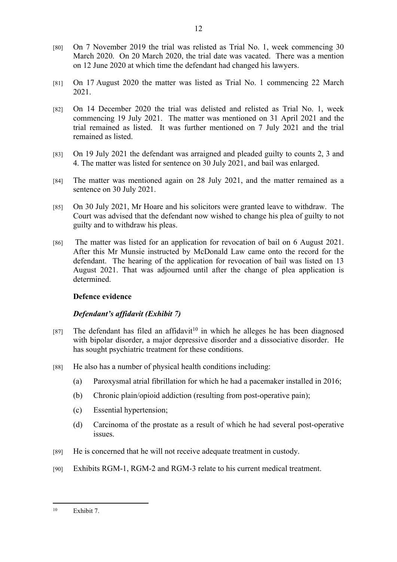- [80] On 7 November 2019 the trial was relisted as Trial No. 1, week commencing 30 March 2020. On 20 March 2020, the trial date was vacated. There was a mention on 12 June 2020 at which time the defendant had changed his lawyers.
- [81] On 17 August 2020 the matter was listed as Trial No. 1 commencing 22 March 2021.
- [82] On 14 December 2020 the trial was delisted and relisted as Trial No. 1, week commencing 19 July 2021. The matter was mentioned on 31 April 2021 and the trial remained as listed. It was further mentioned on 7 July 2021 and the trial remained as listed.
- [83] On 19 July 2021 the defendant was arraigned and pleaded guilty to counts 2, 3 and 4. The matter was listed for sentence on 30 July 2021, and bail was enlarged.
- [84] The matter was mentioned again on 28 July 2021, and the matter remained as a sentence on 30 July 2021.
- [85] On 30 July 2021, Mr Hoare and his solicitors were granted leave to withdraw. The Court was advised that the defendant now wished to change his plea of guilty to not guilty and to withdraw his pleas.
- [86] The matter was listed for an application for revocation of bail on 6 August 2021. After this Mr Munsie instructed by McDonald Law came onto the record for the defendant. The hearing of the application for revocation of bail was listed on 13 August 2021. That was adjourned until after the change of plea application is determined.

# **Defence evidence**

# *Defendant's affidavit (Exhibit 7)*

- [87] The defendant has filed an affidavit<sup>10</sup> in which he alleges he has been diagnosed with bipolar disorder, a major depressive disorder and a dissociative disorder. He has sought psychiatric treatment for these conditions.
- [88] He also has a number of physical health conditions including:
	- (a) Paroxysmal atrial fibrillation for which he had a pacemaker installed in 2016;
	- (b) Chronic plain/opioid addiction (resulting from post-operative pain);
	- (c) Essential hypertension;
	- (d) Carcinoma of the prostate as a result of which he had several post-operative issues.
- [89] He is concerned that he will not receive adequate treatment in custody.
- [90] Exhibits RGM-1, RGM-2 and RGM-3 relate to his current medical treatment.

<sup>10</sup> Exhibit 7.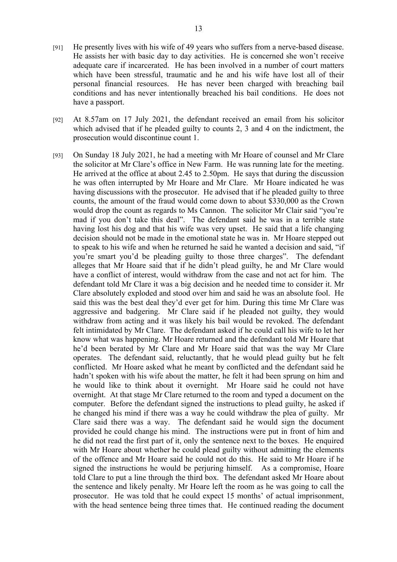- [91] He presently lives with his wife of 49 years who suffers from a nerve-based disease. He assists her with basic day to day activities. He is concerned she won't receive adequate care if incarcerated. He has been involved in a number of court matters which have been stressful, traumatic and he and his wife have lost all of their personal financial resources. He has never been charged with breaching bail conditions and has never intentionally breached his bail conditions. He does not have a passport.
- [92] At 8.57am on 17 July 2021, the defendant received an email from his solicitor which advised that if he pleaded guilty to counts 2, 3 and 4 on the indictment, the prosecution would discontinue count 1.
- [93] On Sunday 18 July 2021, he had a meeting with Mr Hoare of counsel and Mr Clare the solicitor at Mr Clare's office in New Farm. He was running late for the meeting. He arrived at the office at about 2.45 to 2.50pm. He says that during the discussion he was often interrupted by Mr Hoare and Mr Clare. Mr Hoare indicated he was having discussions with the prosecutor. He advised that if he pleaded guilty to three counts, the amount of the fraud would come down to about \$330,000 as the Crown would drop the count as regards to Ms Cannon. The solicitor Mr Clair said "you're mad if you don't take this deal". The defendant said he was in a terrible state having lost his dog and that his wife was very upset. He said that a life changing decision should not be made in the emotional state he was in. Mr Hoare stepped out to speak to his wife and when he returned he said he wanted a decision and said, "if you're smart you'd be pleading guilty to those three charges". The defendant alleges that Mr Hoare said that if he didn't plead guilty, he and Mr Clare would have a conflict of interest, would withdraw from the case and not act for him. The defendant told Mr Clare it was a big decision and he needed time to consider it. Mr Clare absolutely exploded and stood over him and said he was an absolute fool. He said this was the best deal they'd ever get for him. During this time Mr Clare was aggressive and badgering. Mr Clare said if he pleaded not guilty, they would withdraw from acting and it was likely his bail would be revoked. The defendant felt intimidated by Mr Clare. The defendant asked if he could call his wife to let her know what was happening. Mr Hoare returned and the defendant told Mr Hoare that he'd been berated by Mr Clare and Mr Hoare said that was the way Mr Clare operates. The defendant said, reluctantly, that he would plead guilty but he felt conflicted. Mr Hoare asked what he meant by conflicted and the defendant said he hadn't spoken with his wife about the matter, he felt it had been sprung on him and he would like to think about it overnight. Mr Hoare said he could not have overnight. At that stage Mr Clare returned to the room and typed a document on the computer. Before the defendant signed the instructions to plead guilty, he asked if he changed his mind if there was a way he could withdraw the plea of guilty. Mr Clare said there was a way. The defendant said he would sign the document provided he could change his mind. The instructions were put in front of him and he did not read the first part of it, only the sentence next to the boxes. He enquired with Mr Hoare about whether he could plead guilty without admitting the elements of the offence and Mr Hoare said he could not do this. He said to Mr Hoare if he signed the instructions he would be perjuring himself. As a compromise, Hoare told Clare to put a line through the third box. The defendant asked Mr Hoare about the sentence and likely penalty. Mr Hoare left the room as he was going to call the prosecutor. He was told that he could expect 15 months' of actual imprisonment, with the head sentence being three times that. He continued reading the document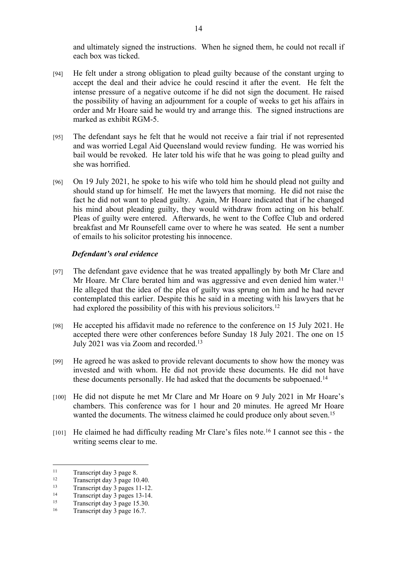and ultimately signed the instructions. When he signed them, he could not recall if each box was ticked.

- [94] He felt under a strong obligation to plead guilty because of the constant urging to accept the deal and their advice he could rescind it after the event. He felt the intense pressure of a negative outcome if he did not sign the document. He raised the possibility of having an adjournment for a couple of weeks to get his affairs in order and Mr Hoare said he would try and arrange this. The signed instructions are marked as exhibit RGM-5.
- [95] The defendant says he felt that he would not receive a fair trial if not represented and was worried Legal Aid Queensland would review funding. He was worried his bail would be revoked. He later told his wife that he was going to plead guilty and she was horrified.
- [96] On 19 July 2021, he spoke to his wife who told him he should plead not guilty and should stand up for himself. He met the lawyers that morning. He did not raise the fact he did not want to plead guilty. Again, Mr Hoare indicated that if he changed his mind about pleading guilty, they would withdraw from acting on his behalf. Pleas of guilty were entered. Afterwards, he went to the Coffee Club and ordered breakfast and Mr Rounsefell came over to where he was seated. He sent a number of emails to his solicitor protesting his innocence.

# *Defendant's oral evidence*

- [97] The defendant gave evidence that he was treated appallingly by both Mr Clare and Mr Hoare. Mr Clare berated him and was aggressive and even denied him water.<sup>11</sup> He alleged that the idea of the plea of guilty was sprung on him and he had never contemplated this earlier. Despite this he said in a meeting with his lawyers that he had explored the possibility of this with his previous solicitors.<sup>12</sup>
- [98] He accepted his affidavit made no reference to the conference on 15 July 2021. He accepted there were other conferences before Sunday 18 July 2021. The one on 15 July 2021 was via Zoom and recorded.<sup>13</sup>
- [99] He agreed he was asked to provide relevant documents to show how the money was invested and with whom. He did not provide these documents. He did not have these documents personally. He had asked that the documents be subpoenaed.<sup>14</sup>
- [100] He did not dispute he met Mr Clare and Mr Hoare on 9 July 2021 in Mr Hoare's chambers. This conference was for 1 hour and 20 minutes. He agreed Mr Hoare wanted the documents. The witness claimed he could produce only about seven.<sup>15</sup>
- [101] He claimed he had difficulty reading Mr Clare's files note.<sup>16</sup> I cannot see this the writing seems clear to me.

 $\frac{11}{12}$  Transcript day 3 page 8.

<sup>&</sup>lt;sup>12</sup> Transcript day 3 page 10.40.

 $\frac{13}{14}$  Transcript day 3 pages 11-12.

<sup>&</sup>lt;sup>14</sup> Transcript day 3 pages 13-14.<br><sup>15</sup> Transcript day 3 page 15.30

Transcript day 3 page 15.30.

<sup>16</sup> Transcript day 3 page 16.7.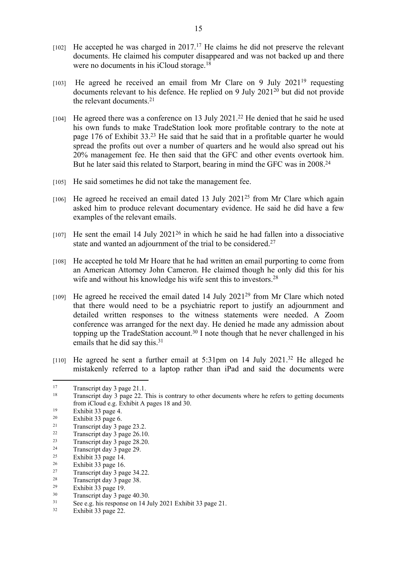- $[102]$  He accepted he was charged in 2017.<sup>17</sup> He claims he did not preserve the relevant documents. He claimed his computer disappeared and was not backed up and there were no documents in his iCloud storage.<sup>18</sup>
- [103] He agreed he received an email from Mr Clare on 9 July 2021<sup>19</sup> requesting documents relevant to his defence. He replied on 9 July 2021<sup>20</sup> but did not provide the relevant documents.<sup>21</sup>
- [104] He agreed there was a conference on 13 July 2021.<sup>22</sup> He denied that he said he used his own funds to make TradeStation look more profitable contrary to the note at page 176 of Exhibit 33.<sup>23</sup> He said that he said that in a profitable quarter he would spread the profits out over a number of quarters and he would also spread out his 20% management fee. He then said that the GFC and other events overtook him. But he later said this related to Starport, bearing in mind the GFC was in 2008.<sup>24</sup>
- [105] He said sometimes he did not take the management fee.
- $[106]$  He agreed he received an email dated 13 July 2021<sup>25</sup> from Mr Clare which again asked him to produce relevant documentary evidence. He said he did have a few examples of the relevant emails.
- $[107]$  He sent the email 14 July 2021<sup>26</sup> in which he said he had fallen into a dissociative state and wanted an adjournment of the trial to be considered.<sup>27</sup>
- [108] He accepted he told Mr Hoare that he had written an email purporting to come from an American Attorney John Cameron. He claimed though he only did this for his wife and without his knowledge his wife sent this to investors.<sup>28</sup>
- [109] He agreed he received the email dated 14 July 2021<sup>29</sup> from Mr Clare which noted that there would need to be a psychiatric report to justify an adjournment and detailed written responses to the witness statements were needed. A Zoom conference was arranged for the next day. He denied he made any admission about topping up the TradeStation account.<sup>30</sup> I note though that he never challenged in his emails that he did say this.<sup>31</sup>
- [110] He agreed he sent a further email at 5:31pm on 14 July 2021.<sup>32</sup> He alleged he mistakenly referred to a laptop rather than iPad and said the documents were

 $30$  Transcript day 3 page 40.30.<br> $31$  See e.g. his represents an 14 In

<sup>&</sup>lt;sup>17</sup> Transcript day 3 page 21.1.

<sup>&</sup>lt;sup>18</sup> Transcript day 3 page 22. This is contrary to other documents where he refers to getting documents from iCloud e.g. Exhibit A pages 18 and 30.

<sup>19</sup> Exhibit 33 page 4.

<sup>&</sup>lt;sup>20</sup> Exhibit 33 page 6.<br><sup>21</sup> Transpoint day <sup>3</sup> n

 $\frac{21}{22}$  Transcript day 3 page 23.2.

 $\frac{22}{23}$  Transcript day 3 page 26.10.

 $\frac{23}{24}$  Transcript day 3 page 28.20.

 $\frac{24}{25}$  Transcript day 3 page 29.

<sup>&</sup>lt;sup>25</sup> Exhibit  $\overline{33}$  page 14.

 $\frac{26}{27}$  Exhibit 33 page 16.

 $\frac{27}{28}$  Transcript day 3 page 34.22.

<sup>&</sup>lt;sup>28</sup> Transcript day 3 page 38.<br><sup>29</sup> Exhibit 33 page 10

 $\frac{29}{30}$  Exhibit 33 page 19.

 $31$  See e.g. his response on 14 July 2021 Exhibit 33 page 21.<br> $53$  Exhibit 33 page 22.

Exhibit 33 page 22.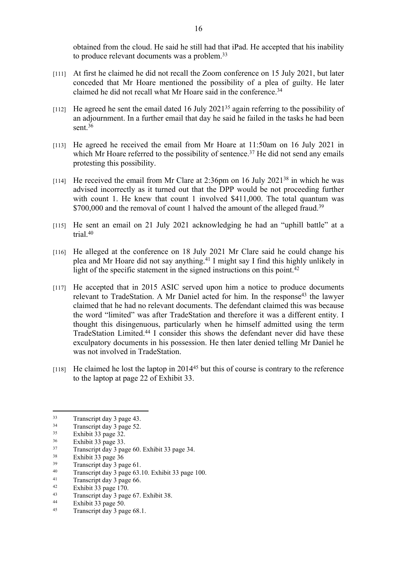obtained from the cloud. He said he still had that iPad. He accepted that his inability to produce relevant documents was a problem.<sup>33</sup>

- [111] At first he claimed he did not recall the Zoom conference on 15 July 2021, but later conceded that Mr Hoare mentioned the possibility of a plea of guilty. He later claimed he did not recall what Mr Hoare said in the conference.<sup>34</sup>
- [112] He agreed he sent the email dated 16 July 2021<sup>35</sup> again referring to the possibility of an adjournment. In a further email that day he said he failed in the tasks he had been sent.<sup>36</sup>
- [113] He agreed he received the email from Mr Hoare at 11:50am on 16 July 2021 in which Mr Hoare referred to the possibility of sentence.<sup>37</sup> He did not send any emails protesting this possibility.
- [114] He received the email from Mr Clare at  $2:36$ pm on 16 July  $2021^{38}$  in which he was advised incorrectly as it turned out that the DPP would be not proceeding further with count 1. He knew that count 1 involved \$411,000. The total quantum was \$700,000 and the removal of count 1 halved the amount of the alleged fraud.<sup>39</sup>
- [115] He sent an email on 21 July 2021 acknowledging he had an "uphill battle" at a trial.<sup>40</sup>
- [116] He alleged at the conference on 18 July 2021 Mr Clare said he could change his plea and Mr Hoare did not say anything.<sup>41</sup> I might say I find this highly unlikely in light of the specific statement in the signed instructions on this point.<sup>42</sup>
- [117] He accepted that in 2015 ASIC served upon him a notice to produce documents relevant to TradeStation. A Mr Daniel acted for him. In the response<sup>43</sup> the lawyer claimed that he had no relevant documents. The defendant claimed this was because the word "limited" was after TradeStation and therefore it was a different entity. I thought this disingenuous, particularly when he himself admitted using the term TradeStation Limited.<sup>44</sup> I consider this shows the defendant never did have these exculpatory documents in his possession. He then later denied telling Mr Daniel he was not involved in TradeStation.
- [118] He claimed he lost the laptop in 2014<sup>45</sup> but this of course is contrary to the reference to the laptop at page 22 of Exhibit 33.

 $33$  Transcript day 3 page 43.<br> $34$  Transcript day 3 page 52.

 $34$  Transcript day 3 page 52.<br> $52 \text{ Fwhilt } 33$  page  $32$ 

 $\frac{35}{36}$  Exhibit 33 page 32.

 $rac{36}{37}$  Exhibit 33 page 33.

 $\frac{37}{38}$  Transcript day 3 page 60. Exhibit 33 page 34.

 $38$  Exhibit 33 page 36

 $39$  Transcript day 3 page 61.<br> $40$  Transcript day 3 page 63.

 $^{40}$  Transcript day 3 page 63.10. Exhibit 33 page 100.

<sup>&</sup>lt;sup>41</sup> Transcript day 3 page 66.<br> $\frac{42}{100}$  Exhibit 33 page 170.

 $\frac{42}{13}$  Exhibit 33 page 170.

 $\frac{43}{44}$  Transcript day 3 page 67. Exhibit 38.

Exhibit 33 page 50.

<sup>45</sup> Transcript day 3 page 68.1.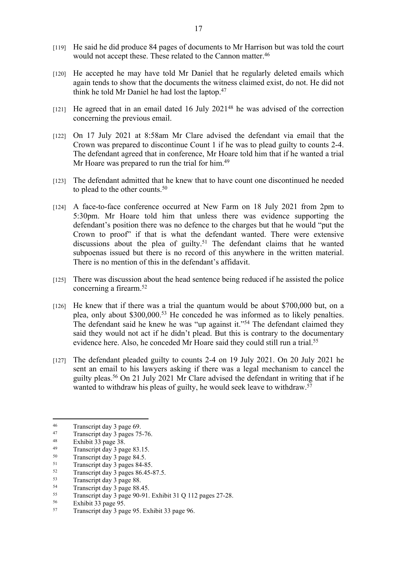- [119] He said he did produce 84 pages of documents to Mr Harrison but was told the court would not accept these. These related to the Cannon matter.<sup>46</sup>
- [120] He accepted he may have told Mr Daniel that he regularly deleted emails which again tends to show that the documents the witness claimed exist, do not. He did not think he told Mr Daniel he had lost the laptop.<sup>47</sup>
- [121] He agreed that in an email dated 16 July 2021<sup>48</sup> he was advised of the correction concerning the previous email.
- [122] On 17 July 2021 at 8:58am Mr Clare advised the defendant via email that the Crown was prepared to discontinue Count 1 if he was to plead guilty to counts 2-4. The defendant agreed that in conference, Mr Hoare told him that if he wanted a trial Mr Hoare was prepared to run the trial for him.<sup>49</sup>
- [123] The defendant admitted that he knew that to have count one discontinued he needed to plead to the other counts.<sup>50</sup>
- [124] A face-to-face conference occurred at New Farm on 18 July 2021 from 2pm to 5:30pm. Mr Hoare told him that unless there was evidence supporting the defendant's position there was no defence to the charges but that he would "put the Crown to proof" if that is what the defendant wanted. There were extensive discussions about the plea of guilty.<sup>51</sup> The defendant claims that he wanted subpoenas issued but there is no record of this anywhere in the written material. There is no mention of this in the defendant's affidavit.
- [125] There was discussion about the head sentence being reduced if he assisted the police concerning a firearm.<sup>52</sup>
- [126] He knew that if there was a trial the quantum would be about \$700,000 but, on a plea, only about \$300,000.<sup>53</sup> He conceded he was informed as to likely penalties. The defendant said he knew he was "up against it."<sup>54</sup> The defendant claimed they said they would not act if he didn't plead. But this is contrary to the documentary evidence here. Also, he conceded Mr Hoare said they could still run a trial.<sup>55</sup>
- [127] The defendant pleaded guilty to counts 2-4 on 19 July 2021. On 20 July 2021 he sent an email to his lawyers asking if there was a legal mechanism to cancel the guilty pleas.<sup>56</sup> On 21 July 2021 Mr Clare advised the defendant in writing that if he wanted to withdraw his pleas of guilty, he would seek leave to withdraw.<sup>57</sup>

<sup>&</sup>lt;sup>46</sup> Transcript day 3 page 69.

<sup>&</sup>lt;sup>47</sup> Transcript day 3 pages 75-76.

 $\frac{48}{49}$  Exhibit 33 page 38.

 $^{49}$  Transcript day 3 page 83.15.<br> $^{50}$  Transcript day 3 page 84.5

 $^{50}$  Transcript day 3 page 84.5.

 $^{51}$  Transcript day 3 pages 84-85.<br> $^{52}$  Transcript day 3 pages 86.45-1

 $^{52}$  Transcript day 3 pages 86.45-87.5.<br> $^{53}$  Transcript day 3 page 88

 $53$  Transcript day 3 page 88.<br>Transcript day 3 page 88.

 $^{54}$  Transcript day 3 page 88.45.<br> $^{55}$  Transcript day 3 page 90.01

<sup>55</sup> Transcript day 3 page 90-91. Exhibit 31 Q 112 pages 27-28.<br> $56$  Exhibit 32 page 95

 $56$  Exhibit 33 page 95.

<sup>57</sup> Transcript day 3 page 95. Exhibit 33 page 96.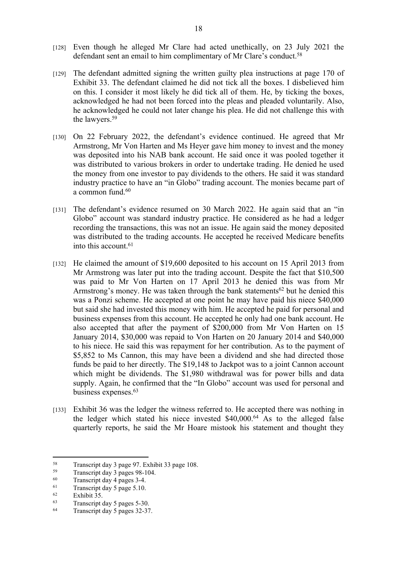- [128] Even though he alleged Mr Clare had acted unethically, on 23 July 2021 the defendant sent an email to him complimentary of Mr Clare's conduct.<sup>58</sup>
- [129] The defendant admitted signing the written guilty plea instructions at page 170 of Exhibit 33. The defendant claimed he did not tick all the boxes. I disbelieved him on this. I consider it most likely he did tick all of them. He, by ticking the boxes, acknowledged he had not been forced into the pleas and pleaded voluntarily. Also, he acknowledged he could not later change his plea. He did not challenge this with the lawyers.<sup>59</sup>
- [130] On 22 February 2022, the defendant's evidence continued. He agreed that Mr Armstrong, Mr Von Harten and Ms Heyer gave him money to invest and the money was deposited into his NAB bank account. He said once it was pooled together it was distributed to various brokers in order to undertake trading. He denied he used the money from one investor to pay dividends to the others. He said it was standard industry practice to have an "in Globo" trading account. The monies became part of a common fund.<sup>60</sup>
- [131] The defendant's evidence resumed on 30 March 2022. He again said that an "in Globo" account was standard industry practice. He considered as he had a ledger recording the transactions, this was not an issue. He again said the money deposited was distributed to the trading accounts. He accepted he received Medicare benefits into this account.<sup>61</sup>
- [132] He claimed the amount of \$19,600 deposited to his account on 15 April 2013 from Mr Armstrong was later put into the trading account. Despite the fact that \$10,500 was paid to Mr Von Harten on 17 April 2013 he denied this was from Mr Armstrong's money. He was taken through the bank statements<sup>62</sup> but he denied this was a Ponzi scheme. He accepted at one point he may have paid his niece \$40,000 but said she had invested this money with him. He accepted he paid for personal and business expenses from this account. He accepted he only had one bank account. He also accepted that after the payment of \$200,000 from Mr Von Harten on 15 January 2014, \$30,000 was repaid to Von Harten on 20 January 2014 and \$40,000 to his niece. He said this was repayment for her contribution. As to the payment of \$5,852 to Ms Cannon, this may have been a dividend and she had directed those funds be paid to her directly. The \$19,148 to Jackpot was to a joint Cannon account which might be dividends. The \$1,980 withdrawal was for power bills and data supply. Again, he confirmed that the "In Globo" account was used for personal and business expenses.<sup>63</sup>
- [133] Exhibit 36 was the ledger the witness referred to. He accepted there was nothing in the ledger which stated his niece invested \$40,000.<sup>64</sup> As to the alleged false quarterly reports, he said the Mr Hoare mistook his statement and thought they

<sup>&</sup>lt;sup>58</sup> Transcript day 3 page 97. Exhibit 33 page 108.<br>Transcript day 3 pages  $98-104$ 

 $^{59}$  Transcript day 3 pages 98-104.<br>
Transcript day 4 pages 3.4

 $^{60}$  Transcript day 4 pages 3-4.<br> $^{61}$  Transcript day 5 page 5.10

<sup>&</sup>lt;sup>61</sup> Transcript day 5 page 5.10.<br><sup>62</sup> Exhibit 25

 $rac{62}{63}$  Exhibit 35.

Transcript day 5 pages 5-30.

<sup>64</sup> Transcript day 5 pages 32-37.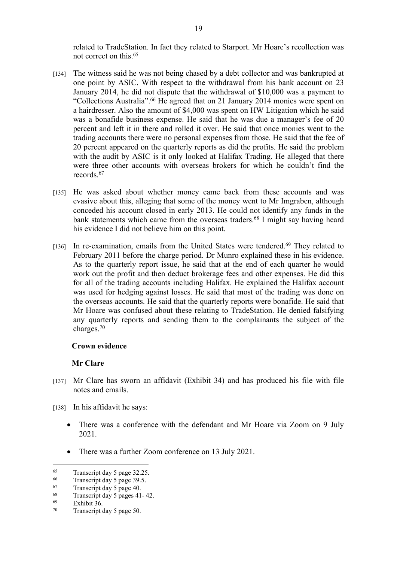related to TradeStation. In fact they related to Starport. Mr Hoare's recollection was not correct on this.<sup>65</sup>

- [134] The witness said he was not being chased by a debt collector and was bankrupted at one point by ASIC. With respect to the withdrawal from his bank account on 23 January 2014, he did not dispute that the withdrawal of \$10,000 was a payment to "Collections Australia".<sup>66</sup> He agreed that on 21 January 2014 monies were spent on a hairdresser. Also the amount of \$4,000 was spent on HW Litigation which he said was a bonafide business expense. He said that he was due a manager's fee of 20 percent and left it in there and rolled it over. He said that once monies went to the trading accounts there were no personal expenses from those. He said that the fee of 20 percent appeared on the quarterly reports as did the profits. He said the problem with the audit by ASIC is it only looked at Halifax Trading. He alleged that there were three other accounts with overseas brokers for which he couldn't find the records<sup>67</sup>
- [135] He was asked about whether money came back from these accounts and was evasive about this, alleging that some of the money went to Mr Imgraben, although conceded his account closed in early 2013. He could not identify any funds in the bank statements which came from the overseas traders.<sup>68</sup> I might say having heard his evidence I did not believe him on this point.
- [136] In re-examination, emails from the United States were tendered.<sup>69</sup> They related to February 2011 before the charge period. Dr Munro explained these in his evidence. As to the quarterly report issue, he said that at the end of each quarter he would work out the profit and then deduct brokerage fees and other expenses. He did this for all of the trading accounts including Halifax. He explained the Halifax account was used for hedging against losses. He said that most of the trading was done on the overseas accounts. He said that the quarterly reports were bonafide. He said that Mr Hoare was confused about these relating to TradeStation. He denied falsifying any quarterly reports and sending them to the complainants the subject of the charges.<sup>70</sup>

#### **Crown evidence**

#### **Mr Clare**

- [137] Mr Clare has sworn an affidavit (Exhibit 34) and has produced his file with file notes and emails.
- [138] In his affidavit he says:
	- There was a conference with the defendant and Mr Hoare via Zoom on 9 July 2021.
	- There was a further Zoom conference on 13 July 2021.

 $^{65}$  Transcript day 5 page 32.25.<br> $^{66}$  Transcript day 5 page 39.5

 $^{66}$  Transcript day 5 page 39.5.<br> $^{67}$  Transcript day 5 page 40.

 $^{67}$  Transcript day 5 page 40.<br> $^{68}$  Transcript day 5 pages 41

 $^{68}$  Transcript day 5 pages 41-42.

Exhibit 36.

<sup>70</sup> Transcript day 5 page 50.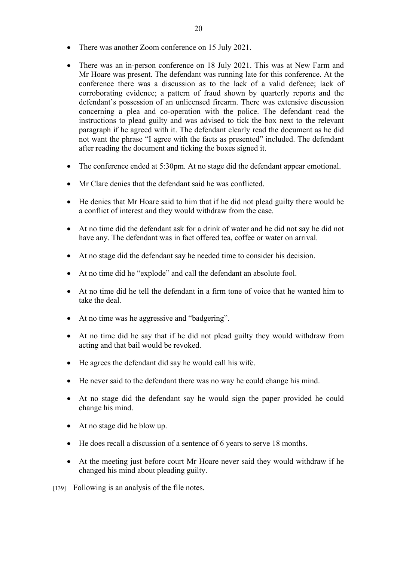- There was another Zoom conference on 15 July 2021.
- There was an in-person conference on 18 July 2021. This was at New Farm and Mr Hoare was present. The defendant was running late for this conference. At the conference there was a discussion as to the lack of a valid defence; lack of corroborating evidence; a pattern of fraud shown by quarterly reports and the defendant's possession of an unlicensed firearm. There was extensive discussion concerning a plea and co-operation with the police. The defendant read the instructions to plead guilty and was advised to tick the box next to the relevant paragraph if he agreed with it. The defendant clearly read the document as he did not want the phrase "I agree with the facts as presented" included. The defendant after reading the document and ticking the boxes signed it.
- The conference ended at 5:30pm. At no stage did the defendant appear emotional.
- Mr Clare denies that the defendant said he was conflicted.
- He denies that Mr Hoare said to him that if he did not plead guilty there would be a conflict of interest and they would withdraw from the case.
- At no time did the defendant ask for a drink of water and he did not say he did not have any. The defendant was in fact offered tea, coffee or water on arrival.
- At no stage did the defendant say he needed time to consider his decision.
- At no time did he "explode" and call the defendant an absolute fool.
- At no time did he tell the defendant in a firm tone of voice that he wanted him to take the deal.
- At no time was he aggressive and "badgering".
- At no time did he say that if he did not plead guilty they would withdraw from acting and that bail would be revoked.
- He agrees the defendant did say he would call his wife.
- He never said to the defendant there was no way he could change his mind.
- At no stage did the defendant say he would sign the paper provided he could change his mind.
- At no stage did he blow up.
- He does recall a discussion of a sentence of 6 years to serve 18 months.
- At the meeting just before court Mr Hoare never said they would withdraw if he changed his mind about pleading guilty.
- [139] Following is an analysis of the file notes.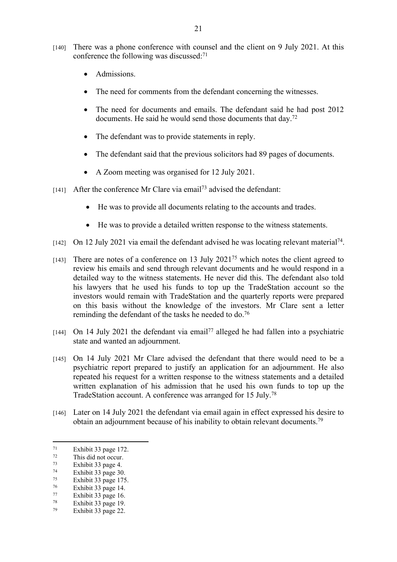- [140] There was a phone conference with counsel and the client on 9 July 2021. At this conference the following was discussed:<sup>71</sup>
	- Admissions.
	- The need for comments from the defendant concerning the witnesses.
	- The need for documents and emails. The defendant said he had post 2012 documents. He said he would send those documents that day.<sup>72</sup>
	- The defendant was to provide statements in reply.
	- The defendant said that the previous solicitors had 89 pages of documents.
	- A Zoom meeting was organised for 12 July 2021.
- [141] After the conference Mr Clare via email<sup>73</sup> advised the defendant:
	- He was to provide all documents relating to the accounts and trades.
	- He was to provide a detailed written response to the witness statements.
- [142] On 12 July 2021 via email the defendant advised he was locating relevant material<sup>74</sup>.
- [143] There are notes of a conference on 13 July 2021<sup>75</sup> which notes the client agreed to review his emails and send through relevant documents and he would respond in a detailed way to the witness statements. He never did this. The defendant also told his lawyers that he used his funds to top up the TradeStation account so the investors would remain with TradeStation and the quarterly reports were prepared on this basis without the knowledge of the investors. Mr Clare sent a letter reminding the defendant of the tasks he needed to do.<sup>76</sup>
- $[144]$  On 14 July 2021 the defendant via email<sup>77</sup> alleged he had fallen into a psychiatric state and wanted an adjournment.
- [145] On 14 July 2021 Mr Clare advised the defendant that there would need to be a psychiatric report prepared to justify an application for an adjournment. He also repeated his request for a written response to the witness statements and a detailed written explanation of his admission that he used his own funds to top up the TradeStation account. A conference was arranged for 15 July.<sup>78</sup>
- [146] Later on 14 July 2021 the defendant via email again in effect expressed his desire to obtain an adjournment because of his inability to obtain relevant documents.<sup>79</sup>

 $\frac{71}{72}$  Exhibit 33 page 172.

 $72$  This did not occur.

 $\frac{73}{74}$  Exhibit 33 page 4.

 $\frac{74}{75}$  Exhibit 33 page 30.

 $\frac{75}{76}$  Exhibit 33 page 175.

 $\frac{76}{77}$  Exhibit 33 page 14.

 $\frac{77}{78}$  Exhibit 33 page 16.

Exhibit 33 page 19.

<sup>79</sup> Exhibit 33 page 22.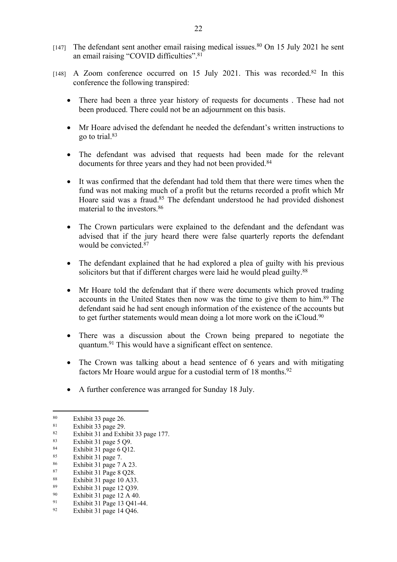- [147] The defendant sent another email raising medical issues.<sup>80</sup> On 15 July 2021 he sent an email raising "COVID difficulties".<sup>81</sup>
- [148] A Zoom conference occurred on 15 July 2021. This was recorded.<sup>82</sup> In this conference the following transpired:
	- There had been a three year history of requests for documents . These had not been produced. There could not be an adjournment on this basis.
	- Mr Hoare advised the defendant he needed the defendant's written instructions to go to trial.<sup>83</sup>
	- The defendant was advised that requests had been made for the relevant documents for three years and they had not been provided.<sup>84</sup>
	- It was confirmed that the defendant had told them that there were times when the fund was not making much of a profit but the returns recorded a profit which Mr Hoare said was a fraud.<sup>85</sup> The defendant understood he had provided dishonest material to the investors.<sup>86</sup>
	- The Crown particulars were explained to the defendant and the defendant was advised that if the jury heard there were false quarterly reports the defendant would be convicted.<sup>87</sup>
	- The defendant explained that he had explored a plea of guilty with his previous solicitors but that if different charges were laid he would plead guilty.<sup>88</sup>
	- Mr Hoare told the defendant that if there were documents which proved trading accounts in the United States then now was the time to give them to him.<sup>89</sup> The defendant said he had sent enough information of the existence of the accounts but to get further statements would mean doing a lot more work on the iCloud.<sup>90</sup>
	- There was a discussion about the Crown being prepared to negotiate the quantum.<sup>91</sup> This would have a significant effect on sentence.
	- The Crown was talking about a head sentence of 6 years and with mitigating factors Mr Hoare would argue for a custodial term of 18 months. $92$
	- A further conference was arranged for Sunday 18 July.

- 88 Exhibit 31 page 10 A33.<br> $89$  Exhibit 31 page 12 O39
- $\frac{89}{90}$  Exhibit 31 page 12 Q39.
- <sup>90</sup> Exhibit 31 page 12 A 40.<br><sup>91</sup> Exhibit 31 Page 13 O41

 $\frac{80}{81}$  Exhibit 33 page 26.

 $\frac{81}{82}$  Exhibit 33 page 29.

<sup>82</sup> Exhibit 31 and Exhibit 33 page 177.

 $\frac{83}{84}$  Exhibit 31 page 5 Q9.

 $\frac{84}{85}$  Exhibit 31 page 6 Q12.

Exhibit 31 page 7.

 $\frac{86}{87}$  Exhibit 31 page 7 A 23.

 $87$  Exhibit 31 Page 8 Q28.<br> $88$  Exhibit 31 page 10 A33

<sup>&</sup>lt;sup>91</sup> Exhibit 31 Page 13 Q41-44.<br><sup>92</sup> Exhibit 31 page 14 O46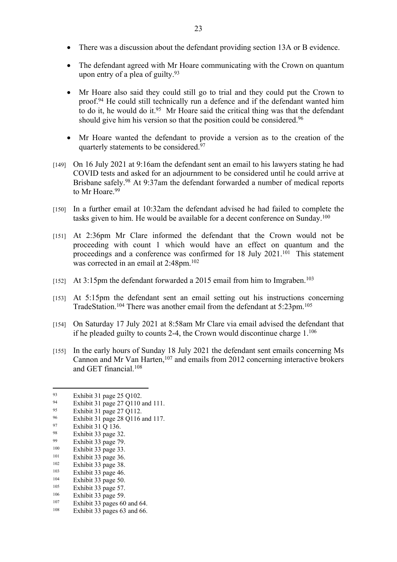- There was a discussion about the defendant providing section 13A or B evidence.
- The defendant agreed with Mr Hoare communicating with the Crown on quantum upon entry of a plea of guilty.<sup>93</sup>
- Mr Hoare also said they could still go to trial and they could put the Crown to proof.<sup>94</sup> He could still technically run a defence and if the defendant wanted him to do it, he would do it.<sup>95</sup> Mr Hoare said the critical thing was that the defendant should give him his version so that the position could be considered.<sup>96</sup>
- Mr Hoare wanted the defendant to provide a version as to the creation of the quarterly statements to be considered.<sup>97</sup>
- [149] On 16 July 2021 at 9:16am the defendant sent an email to his lawyers stating he had COVID tests and asked for an adjournment to be considered until he could arrive at Brisbane safely.<sup>98</sup> At 9:37am the defendant forwarded a number of medical reports to Mr Hoare.<sup>99</sup>
- [150] In a further email at 10:32am the defendant advised he had failed to complete the tasks given to him. He would be available for a decent conference on Sunday.<sup>100</sup>
- [151] At 2:36pm Mr Clare informed the defendant that the Crown would not be proceeding with count 1 which would have an effect on quantum and the proceedings and a conference was confirmed for 18 July 2021.<sup>101</sup> This statement was corrected in an email at 2:48pm.<sup>102</sup>
- [152] At 3:15pm the defendant forwarded a 2015 email from him to Imgraben.<sup>103</sup>
- [153] At 5:15pm the defendant sent an email setting out his instructions concerning TradeStation.<sup>104</sup> There was another email from the defendant at 5:23pm.<sup>105</sup>
- [154] On Saturday 17 July 2021 at 8:58am Mr Clare via email advised the defendant that if he pleaded guilty to counts 2-4, the Crown would discontinue charge 1.<sup>106</sup>
- [155] In the early hours of Sunday 18 July 2021 the defendant sent emails concerning Ms Cannon and Mr Van Harten,<sup>107</sup> and emails from 2012 concerning interactive brokers and GET financial.<sup>108</sup>

- Exhibit 31 page 27 Q110 and 111.
- <sup>95</sup> Exhibit 31 page 27 Q112.

- $100$  Exhibit 33 page 33.
- $101$  Exhibit 33 page 36.
- $102$  Exhibit 33 page 38.<br> $103$  Exhibit 33 page 46
- $103$  Exhibit 33 page 46.
- $104$  Exhibit 33 page 50.
- $105$  Exhibit 33 page 57.<br> $106$  Exhibit 33 page 50.
- $106$  Exhibit 33 page 59.<br> $107$  Exhibit 33 pages 60
- <sup>107</sup> Exhibit 33 pages 60 and 64.<br> $\frac{108}{25}$  Exhibit 32 pages 62 and 66 Exhibit 33 pages 63 and 66.

<sup>93</sup> Exhibit 31 page 25 Q102.

<sup>96</sup> Exhibit 31 page 28 Q116 and 117.

 $\frac{97}{98}$  Exhibit 31 Q 136.

<sup>&</sup>lt;sup>98</sup> Exhibit 33 page 32.

 $\frac{99}{100}$  Exhibit 33 page 79.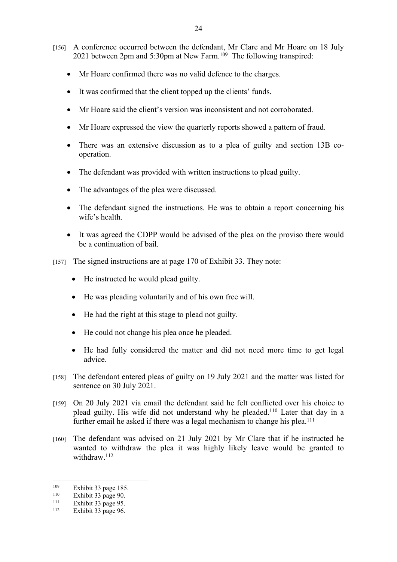- [156] A conference occurred between the defendant, Mr Clare and Mr Hoare on 18 July 2021 between 2pm and 5:30pm at New Farm.<sup>109</sup> The following transpired:
	- Mr Hoare confirmed there was no valid defence to the charges.
	- It was confirmed that the client topped up the clients' funds.
	- Mr Hoare said the client's version was inconsistent and not corroborated.
	- Mr Hoare expressed the view the quarterly reports showed a pattern of fraud.
	- There was an extensive discussion as to a plea of guilty and section 13B cooperation.
	- The defendant was provided with written instructions to plead guilty.
	- The advantages of the plea were discussed.
	- The defendant signed the instructions. He was to obtain a report concerning his wife's health.
	- It was agreed the CDPP would be advised of the plea on the proviso there would be a continuation of bail.
- [157] The signed instructions are at page 170 of Exhibit 33. They note:
	- He instructed he would plead guilty.
	- He was pleading voluntarily and of his own free will.
	- He had the right at this stage to plead not guilty.
	- He could not change his plea once he pleaded.
	- He had fully considered the matter and did not need more time to get legal advice.
- [158] The defendant entered pleas of guilty on 19 July 2021 and the matter was listed for sentence on 30 July 2021.
- [159] On 20 July 2021 via email the defendant said he felt conflicted over his choice to plead guilty. His wife did not understand why he pleaded.<sup>110</sup> Later that day in a further email he asked if there was a legal mechanism to change his plea.<sup>111</sup>
- [160] The defendant was advised on 21 July 2021 by Mr Clare that if he instructed he wanted to withdraw the plea it was highly likely leave would be granted to withdraw.<sup>112</sup>

 $109$  Exhibit 33 page 185.

 $110$  Exhibit 33 page 90.<br> $111$  Exhibit 33 page 95

<sup>&</sup>lt;sup>111</sup> Exhibit 33 page 95.<br><sup>112</sup> Exhibit 33 page 96

Exhibit 33 page 96.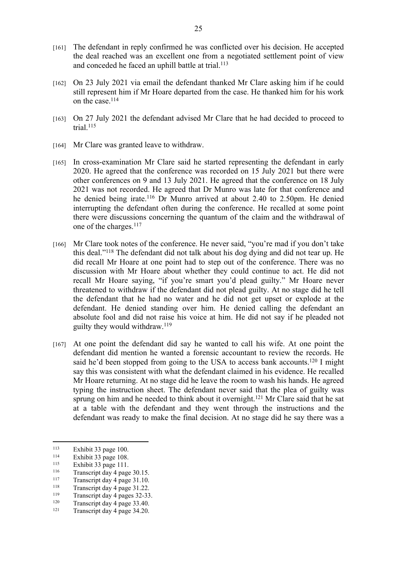- [161] The defendant in reply confirmed he was conflicted over his decision. He accepted the deal reached was an excellent one from a negotiated settlement point of view and conceded he faced an uphill battle at trial.<sup>113</sup>
- [162] On 23 July 2021 via email the defendant thanked Mr Clare asking him if he could still represent him if Mr Hoare departed from the case. He thanked him for his work on the case.<sup>114</sup>
- [163] On 27 July 2021 the defendant advised Mr Clare that he had decided to proceed to trial.<sup>115</sup>
- [164] Mr Clare was granted leave to withdraw.
- [165] In cross-examination Mr Clare said he started representing the defendant in early 2020. He agreed that the conference was recorded on 15 July 2021 but there were other conferences on 9 and 13 July 2021. He agreed that the conference on 18 July 2021 was not recorded. He agreed that Dr Munro was late for that conference and he denied being irate.<sup>116</sup> Dr Munro arrived at about 2.40 to 2.50pm. He denied interrupting the defendant often during the conference. He recalled at some point there were discussions concerning the quantum of the claim and the withdrawal of one of the charges.<sup>117</sup>
- [166] Mr Clare took notes of the conference. He never said, "you're mad if you don't take this deal."<sup>118</sup> The defendant did not talk about his dog dying and did not tear up. He did recall Mr Hoare at one point had to step out of the conference. There was no discussion with Mr Hoare about whether they could continue to act. He did not recall Mr Hoare saying, "if you're smart you'd plead guilty." Mr Hoare never threatened to withdraw if the defendant did not plead guilty. At no stage did he tell the defendant that he had no water and he did not get upset or explode at the defendant. He denied standing over him. He denied calling the defendant an absolute fool and did not raise his voice at him. He did not say if he pleaded not guilty they would withdraw.<sup>119</sup>
- [167] At one point the defendant did say he wanted to call his wife. At one point the defendant did mention he wanted a forensic accountant to review the records. He said he'd been stopped from going to the USA to access bank accounts.<sup>120</sup> I might say this was consistent with what the defendant claimed in his evidence. He recalled Mr Hoare returning. At no stage did he leave the room to wash his hands. He agreed typing the instruction sheet. The defendant never said that the plea of guilty was sprung on him and he needed to think about it overnight.<sup>121</sup> Mr Clare said that he sat at a table with the defendant and they went through the instructions and the defendant was ready to make the final decision. At no stage did he say there was a

 $113$  Exhibit 33 page 100.

 $114$  Exhibit 33 page 108.

<sup>&</sup>lt;sup>115</sup> Exhibit 33 page 111.

 $\frac{116}{117}$  Transcript day 4 page 30.15.

 $\frac{117}{118}$  Transcript day 4 page 31.10.

<sup>&</sup>lt;sup>118</sup> Transcript day 4 page 31.22.<br><sup>119</sup> Transcript day 4 pages 32.23

 $\frac{119}{120}$  Transcript day 4 pages 32-33.

<sup>&</sup>lt;sup>120</sup> Transcript day 4 page 33.40.<br><sup>121</sup> Transcript day 4 no. a 24.20.

Transcript day 4 page 34.20.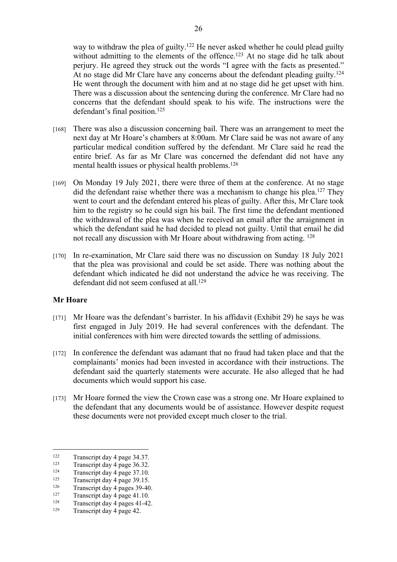way to withdraw the plea of guilty.<sup>122</sup> He never asked whether he could plead guilty without admitting to the elements of the offence.<sup>123</sup> At no stage did he talk about perjury. He agreed they struck out the words "I agree with the facts as presented." At no stage did Mr Clare have any concerns about the defendant pleading guilty.<sup>124</sup> He went through the document with him and at no stage did he get upset with him. There was a discussion about the sentencing during the conference. Mr Clare had no concerns that the defendant should speak to his wife. The instructions were the defendant's final position.<sup>125</sup>

- [168] There was also a discussion concerning bail. There was an arrangement to meet the next day at Mr Hoare's chambers at 8:00am. Mr Clare said he was not aware of any particular medical condition suffered by the defendant. Mr Clare said he read the entire brief. As far as Mr Clare was concerned the defendant did not have any mental health issues or physical health problems.<sup>126</sup>
- [169] On Monday 19 July 2021, there were three of them at the conference. At no stage did the defendant raise whether there was a mechanism to change his plea.<sup>127</sup> They went to court and the defendant entered his pleas of guilty. After this, Mr Clare took him to the registry so he could sign his bail. The first time the defendant mentioned the withdrawal of the plea was when he received an email after the arraignment in which the defendant said he had decided to plead not guilty. Until that email he did not recall any discussion with Mr Hoare about withdrawing from acting. <sup>128</sup>
- [170] In re-examination, Mr Clare said there was no discussion on Sunday 18 July 2021 that the plea was provisional and could be set aside. There was nothing about the defendant which indicated he did not understand the advice he was receiving. The defendant did not seem confused at all <sup>129</sup>

#### **Mr Hoare**

- [171] Mr Hoare was the defendant's barrister. In his affidavit (Exhibit 29) he says he was first engaged in July 2019. He had several conferences with the defendant. The initial conferences with him were directed towards the settling of admissions.
- [172] In conference the defendant was adamant that no fraud had taken place and that the complainants' monies had been invested in accordance with their instructions. The defendant said the quarterly statements were accurate. He also alleged that he had documents which would support his case.
- [173] Mr Hoare formed the view the Crown case was a strong one. Mr Hoare explained to the defendant that any documents would be of assistance. However despite request these documents were not provided except much closer to the trial.

<sup>&</sup>lt;sup>122</sup> Transcript day 4 page 34.37.<br>Transcript day 4 page 36.32

<sup>&</sup>lt;sup>123</sup> Transcript day 4 page 36.32.

 $124$  Transcript day 4 page 37.10.

<sup>&</sup>lt;sup>125</sup> Transcript day 4 page 39.15.<br><sup>126</sup> Transcript day 4 pages  $20,40$ 

<sup>&</sup>lt;sup>126</sup> Transcript day 4 pages 39-40.<br><sup>127</sup> Transcript day 4 page 41.10

<sup>&</sup>lt;sup>127</sup> Transcript day 4 page 41.10.<br><sup>128</sup> Transcript day 4 pages 41.42

<sup>&</sup>lt;sup>128</sup> Transcript day 4 pages 41-42.

Transcript day 4 page 42.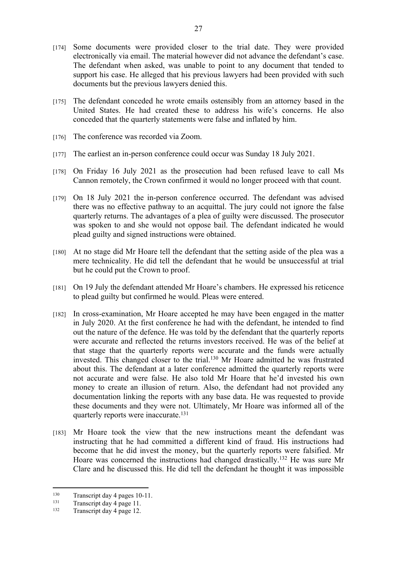- [174] Some documents were provided closer to the trial date. They were provided electronically via email. The material however did not advance the defendant's case. The defendant when asked, was unable to point to any document that tended to support his case. He alleged that his previous lawyers had been provided with such documents but the previous lawyers denied this.
- [175] The defendant conceded he wrote emails ostensibly from an attorney based in the United States. He had created these to address his wife's concerns. He also conceded that the quarterly statements were false and inflated by him.
- [176] The conference was recorded via Zoom.
- [177] The earliest an in-person conference could occur was Sunday 18 July 2021.
- [178] On Friday 16 July 2021 as the prosecution had been refused leave to call Ms Cannon remotely, the Crown confirmed it would no longer proceed with that count.
- [179] On 18 July 2021 the in-person conference occurred. The defendant was advised there was no effective pathway to an acquittal. The jury could not ignore the false quarterly returns. The advantages of a plea of guilty were discussed. The prosecutor was spoken to and she would not oppose bail. The defendant indicated he would plead guilty and signed instructions were obtained.
- [180] At no stage did Mr Hoare tell the defendant that the setting aside of the plea was a mere technicality. He did tell the defendant that he would be unsuccessful at trial but he could put the Crown to proof.
- [181] On 19 July the defendant attended Mr Hoare's chambers. He expressed his reticence to plead guilty but confirmed he would. Pleas were entered.
- [182] In cross-examination, Mr Hoare accepted he may have been engaged in the matter in July 2020. At the first conference he had with the defendant, he intended to find out the nature of the defence. He was told by the defendant that the quarterly reports were accurate and reflected the returns investors received. He was of the belief at that stage that the quarterly reports were accurate and the funds were actually invested. This changed closer to the trial.<sup>130</sup> Mr Hoare admitted he was frustrated about this. The defendant at a later conference admitted the quarterly reports were not accurate and were false. He also told Mr Hoare that he'd invested his own money to create an illusion of return. Also, the defendant had not provided any documentation linking the reports with any base data. He was requested to provide these documents and they were not. Ultimately, Mr Hoare was informed all of the quarterly reports were inaccurate.<sup>131</sup>
- [183] Mr Hoare took the view that the new instructions meant the defendant was instructing that he had committed a different kind of fraud. His instructions had become that he did invest the money, but the quarterly reports were falsified. Mr Hoare was concerned the instructions had changed drastically.<sup>132</sup> He was sure Mr Clare and he discussed this. He did tell the defendant he thought it was impossible

<sup>&</sup>lt;sup>130</sup> Transcript day 4 pages 10-11.

 $131$  Transcript day 4 page 11.

Transcript day 4 page 12.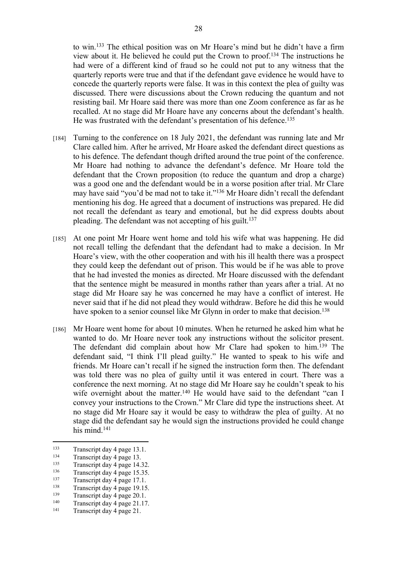to win.<sup>133</sup> The ethical position was on Mr Hoare's mind but he didn't have a firm view about it. He believed he could put the Crown to proof.<sup>134</sup> The instructions he had were of a different kind of fraud so he could not put to any witness that the quarterly reports were true and that if the defendant gave evidence he would have to concede the quarterly reports were false. It was in this context the plea of guilty was discussed. There were discussions about the Crown reducing the quantum and not resisting bail. Mr Hoare said there was more than one Zoom conference as far as he recalled. At no stage did Mr Hoare have any concerns about the defendant's health. He was frustrated with the defendant's presentation of his defence.<sup>135</sup>

- [184] Turning to the conference on 18 July 2021, the defendant was running late and Mr Clare called him. After he arrived, Mr Hoare asked the defendant direct questions as to his defence. The defendant though drifted around the true point of the conference. Mr Hoare had nothing to advance the defendant's defence. Mr Hoare told the defendant that the Crown proposition (to reduce the quantum and drop a charge) was a good one and the defendant would be in a worse position after trial. Mr Clare may have said "you'd be mad not to take it."<sup>136</sup> Mr Hoare didn't recall the defendant mentioning his dog. He agreed that a document of instructions was prepared. He did not recall the defendant as teary and emotional, but he did express doubts about pleading. The defendant was not accepting of his guilt.<sup>137</sup>
- [185] At one point Mr Hoare went home and told his wife what was happening. He did not recall telling the defendant that the defendant had to make a decision. In Mr Hoare's view, with the other cooperation and with his ill health there was a prospect they could keep the defendant out of prison. This would be if he was able to prove that he had invested the monies as directed. Mr Hoare discussed with the defendant that the sentence might be measured in months rather than years after a trial. At no stage did Mr Hoare say he was concerned he may have a conflict of interest. He never said that if he did not plead they would withdraw. Before he did this he would have spoken to a senior counsel like Mr Glynn in order to make that decision.<sup>138</sup>
- [186] Mr Hoare went home for about 10 minutes. When he returned he asked him what he wanted to do. Mr Hoare never took any instructions without the solicitor present. The defendant did complain about how Mr Clare had spoken to him.<sup>139</sup> The defendant said, "I think I'll plead guilty." He wanted to speak to his wife and friends. Mr Hoare can't recall if he signed the instruction form then. The defendant was told there was no plea of guilty until it was entered in court. There was a conference the next morning. At no stage did Mr Hoare say he couldn't speak to his wife overnight about the matter.<sup>140</sup> He would have said to the defendant "can I convey your instructions to the Crown." Mr Clare did type the instructions sheet. At no stage did Mr Hoare say it would be easy to withdraw the plea of guilty. At no stage did the defendant say he would sign the instructions provided he could change his mind.<sup>141</sup>

<sup>&</sup>lt;sup>133</sup> Transcript day 4 page 13.1.<br> $\frac{134}{2}$  Transcript day 4 page 13.

 $134$  Transcript day 4 page 13.

<sup>&</sup>lt;sup>135</sup> Transcript day 4 page 14.32.<br> $\frac{136}{25}$  Transcript day 4 page 15.35

 $\frac{136}{137}$  Transcript day 4 page 15.35.

 $137$  Transcript day 4 page 17.1.

<sup>&</sup>lt;sup>138</sup> Transcript day 4 page 19.15.<br><sup>139</sup> Transcript day 4 page 20.1

<sup>&</sup>lt;sup>139</sup> Transcript day 4 page 20.1.<br><sup>140</sup> Transcript day 4 page 21.17

<sup>&</sup>lt;sup>140</sup> Transcript day 4 page 21.17.<br> $\frac{141}{2}$  Transcript day 4 page 21.17.

Transcript day 4 page 21.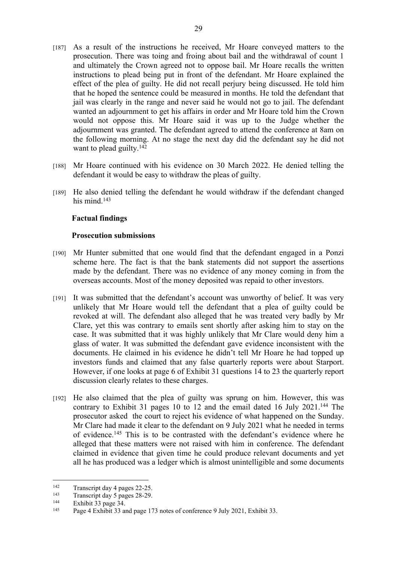- [187] As a result of the instructions he received, Mr Hoare conveyed matters to the prosecution. There was toing and froing about bail and the withdrawal of count 1 and ultimately the Crown agreed not to oppose bail. Mr Hoare recalls the written instructions to plead being put in front of the defendant. Mr Hoare explained the effect of the plea of guilty. He did not recall perjury being discussed. He told him that he hoped the sentence could be measured in months. He told the defendant that jail was clearly in the range and never said he would not go to jail. The defendant wanted an adjournment to get his affairs in order and Mr Hoare told him the Crown would not oppose this. Mr Hoare said it was up to the Judge whether the adjournment was granted. The defendant agreed to attend the conference at 8am on the following morning. At no stage the next day did the defendant say he did not want to plead guilty. $142$
- [188] Mr Hoare continued with his evidence on 30 March 2022. He denied telling the defendant it would be easy to withdraw the pleas of guilty.
- [189] He also denied telling the defendant he would withdraw if the defendant changed his mind.<sup>143</sup>

# **Factual findings**

#### **Prosecution submissions**

- [190] Mr Hunter submitted that one would find that the defendant engaged in a Ponzi scheme here. The fact is that the bank statements did not support the assertions made by the defendant. There was no evidence of any money coming in from the overseas accounts. Most of the money deposited was repaid to other investors.
- [191] It was submitted that the defendant's account was unworthy of belief. It was very unlikely that Mr Hoare would tell the defendant that a plea of guilty could be revoked at will. The defendant also alleged that he was treated very badly by Mr Clare, yet this was contrary to emails sent shortly after asking him to stay on the case. It was submitted that it was highly unlikely that Mr Clare would deny him a glass of water. It was submitted the defendant gave evidence inconsistent with the documents. He claimed in his evidence he didn't tell Mr Hoare he had topped up investors funds and claimed that any false quarterly reports were about Starport. However, if one looks at page 6 of Exhibit 31 questions 14 to 23 the quarterly report discussion clearly relates to these charges.
- [192] He also claimed that the plea of guilty was sprung on him. However, this was contrary to Exhibit 31 pages 10 to 12 and the email dated 16 July 2021.<sup>144</sup> The prosecutor asked the court to reject his evidence of what happened on the Sunday. Mr Clare had made it clear to the defendant on 9 July 2021 what he needed in terms of evidence.<sup>145</sup> This is to be contrasted with the defendant's evidence where he alleged that these matters were not raised with him in conference. The defendant claimed in evidence that given time he could produce relevant documents and yet all he has produced was a ledger which is almost unintelligible and some documents

<sup>&</sup>lt;sup>142</sup> Transcript day 4 pages 22-25.<br><sup>143</sup> Transcript day 5 pages 28.29.

<sup>&</sup>lt;sup>143</sup> Transcript day 5 pages 28-29.<br><sup>144</sup> Exhibit 23 pages 24

Exhibit 33 page 34.

<sup>145</sup> Page 4 Exhibit 33 and page 173 notes of conference 9 July 2021, Exhibit 33.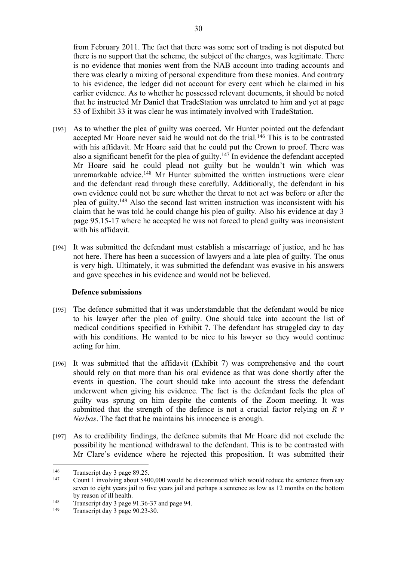from February 2011. The fact that there was some sort of trading is not disputed but there is no support that the scheme, the subject of the charges, was legitimate. There is no evidence that monies went from the NAB account into trading accounts and there was clearly a mixing of personal expenditure from these monies. And contrary to his evidence, the ledger did not account for every cent which he claimed in his earlier evidence. As to whether he possessed relevant documents, it should be noted that he instructed Mr Daniel that TradeStation was unrelated to him and yet at page 53 of Exhibit 33 it was clear he was intimately involved with TradeStation.

- [193] As to whether the plea of guilty was coerced, Mr Hunter pointed out the defendant accepted Mr Hoare never said he would not do the trial.<sup>146</sup> This is to be contrasted with his affidavit. Mr Hoare said that he could put the Crown to proof. There was also a significant benefit for the plea of guilty.<sup>147</sup> In evidence the defendant accepted Mr Hoare said he could plead not guilty but he wouldn't win which was unremarkable advice.<sup>148</sup> Mr Hunter submitted the written instructions were clear and the defendant read through these carefully. Additionally, the defendant in his own evidence could not be sure whether the threat to not act was before or after the plea of guilty.<sup>149</sup> Also the second last written instruction was inconsistent with his claim that he was told he could change his plea of guilty. Also his evidence at day 3 page 95.15-17 where he accepted he was not forced to plead guilty was inconsistent with his affidavit.
- [194] It was submitted the defendant must establish a miscarriage of justice, and he has not here. There has been a succession of lawyers and a late plea of guilty. The onus is very high. Ultimately, it was submitted the defendant was evasive in his answers and gave speeches in his evidence and would not be believed.

# **Defence submissions**

- [195] The defence submitted that it was understandable that the defendant would be nice to his lawyer after the plea of guilty. One should take into account the list of medical conditions specified in Exhibit 7. The defendant has struggled day to day with his conditions. He wanted to be nice to his lawyer so they would continue acting for him.
- [196] It was submitted that the affidavit (Exhibit 7) was comprehensive and the court should rely on that more than his oral evidence as that was done shortly after the events in question. The court should take into account the stress the defendant underwent when giving his evidence. The fact is the defendant feels the plea of guilty was sprung on him despite the contents of the Zoom meeting. It was submitted that the strength of the defence is not a crucial factor relying on *R v Nerbas*. The fact that he maintains his innocence is enough.
- [197] As to credibility findings, the defence submits that Mr Hoare did not exclude the possibility he mentioned withdrawal to the defendant. This is to be contrasted with Mr Clare's evidence where he rejected this proposition. It was submitted their

<sup>&</sup>lt;sup>146</sup> Transcript day 3 page 89.25.<br> $\frac{147}{2}$  Count 1 involving about \$40

Count 1 involving about \$400,000 would be discontinued which would reduce the sentence from say seven to eight years jail to five years jail and perhaps a sentence as low as 12 months on the bottom by reason of ill health.

<sup>&</sup>lt;sup>148</sup> Transcript day 3 page 91.36-37 and page 94.

Transcript day 3 page 90.23-30.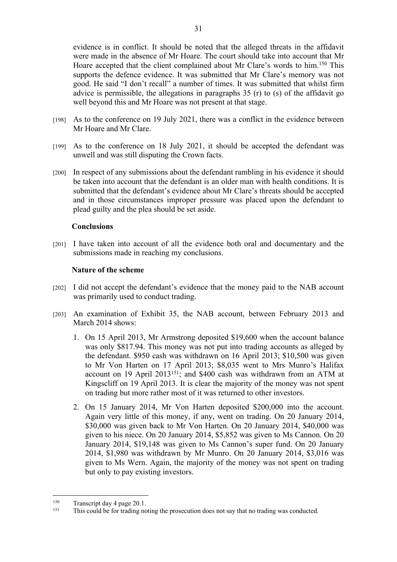evidence is in conflict. It should be noted that the alleged threats in the affidavit were made in the absence of Mr Hoare. The court should take into account that Mr Hoare accepted that the client complained about Mr Clare's words to him.<sup>150</sup> This supports the defence evidence. It was submitted that Mr Clare's memory was not good. He said "I don't recall" a number of times. It was submitted that whilst firm advice is permissible, the allegations in paragraphs 35 (r) to (s) of the affidavit go well beyond this and Mr Hoare was not present at that stage.

- [198] As to the conference on 19 July 2021, there was a conflict in the evidence between Mr Hoare and Mr Clare.
- [199] As to the conference on 18 July 2021, it should be accepted the defendant was unwell and was still disputing the Crown facts.
- [200] In respect of any submissions about the defendant rambling in his evidence it should be taken into account that the defendant is an older man with health conditions. It is submitted that the defendant's evidence about Mr Clare's threats should be accepted and in those circumstances improper pressure was placed upon the defendant to plead guilty and the plea should be set aside.

#### **Conclusions**

[201] I have taken into account of all the evidence both oral and documentary and the submissions made in reaching my conclusions.

#### **Nature of the scheme**

- [202] I did not accept the defendant's evidence that the money paid to the NAB account was primarily used to conduct trading.
- [203] An examination of Exhibit 35, the NAB account, between February 2013 and March 2014 shows:
	- 1. On 15 April 2013, Mr Armstrong deposited \$19,600 when the account balance was only \$817.94. This money was not put into trading accounts as alleged by the defendant. \$950 cash was withdrawn on 16 April 2013; \$10,500 was given to Mr Von Harten on 17 April 2013; \$8,035 went to Mrs Munro's Halifax account on 19 April 2013<sup>151</sup>; and \$400 cash was withdrawn from an ATM at Kingscliff on 19 April 2013. It is clear the majority of the money was not spent on trading but more rather most of it was returned to other investors.
	- 2. On 15 January 2014, Mr Von Harten deposited \$200,000 into the account. Again very little of this money, if any, went on trading. On 20 January 2014, \$30,000 was given back to Mr Von Harten. On 20 January 2014, \$40,000 was given to his niece. On 20 January 2014, \$5,852 was given to Ms Cannon. On 20 January 2014, \$19,148 was given to Ms Cannon's super fund. On 20 January 2014, \$1,980 was withdrawn by Mr Munro. On 20 January 2014, \$3,016 was given to Ms Wern. Again, the majority of the money was not spent on trading but only to pay existing investors.

<sup>&</sup>lt;sup>150</sup> Transcript day 4 page 20.1.<br><sup>151</sup> This apple ha for trading no

<sup>151</sup> This could be for trading noting the prosecution does not say that no trading was conducted.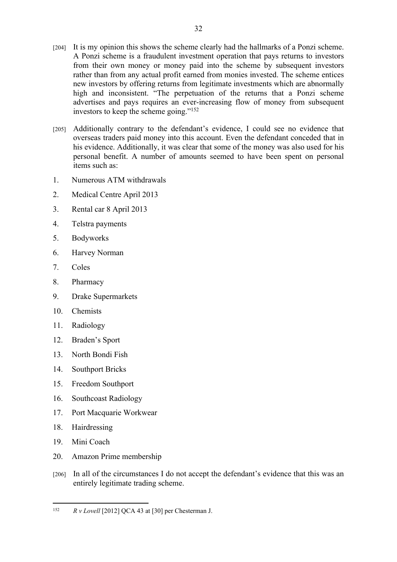[204] It is my opinion this shows the scheme clearly had the hallmarks of a Ponzi scheme. A Ponzi scheme is a fraudulent investment operation that pays returns to investors from their own money or money paid into the scheme by subsequent investors rather than from any actual profit earned from monies invested. The scheme entices new investors by offering returns from legitimate investments which are abnormally high and inconsistent. "The perpetuation of the returns that a Ponzi scheme advertises and pays requires an ever-increasing flow of money from subsequent investors to keep the scheme going."<sup>152</sup>

32

- [205] Additionally contrary to the defendant's evidence, I could see no evidence that overseas traders paid money into this account. Even the defendant conceded that in his evidence. Additionally, it was clear that some of the money was also used for his personal benefit. A number of amounts seemed to have been spent on personal items such as:
- 1. Numerous ATM withdrawals
- 2. Medical Centre April 2013
- 3. Rental car 8 April 2013
- 4. Telstra payments
- 5. Bodyworks
- 6. Harvey Norman
- 7. Coles
- 8. Pharmacy
- 9. Drake Supermarkets
- 10. Chemists
- 11. Radiology
- 12. Braden's Sport
- 13. North Bondi Fish
- 14. Southport Bricks
- 15. Freedom Southport
- 16. Southcoast Radiology
- 17. Port Macquarie Workwear
- 18. Hairdressing
- 19. Mini Coach
- 20. Amazon Prime membership
- [206] In all of the circumstances I do not accept the defendant's evidence that this was an entirely legitimate trading scheme.

<sup>152</sup> *R v Lovell* [2012] QCA 43 at [30] per Chesterman J.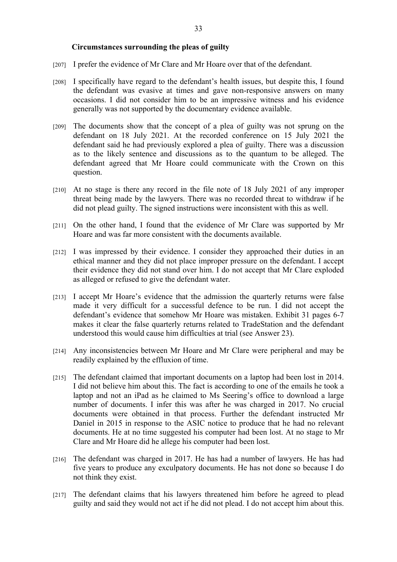#### **Circumstances surrounding the pleas of guilty**

- [207] I prefer the evidence of Mr Clare and Mr Hoare over that of the defendant.
- [208] I specifically have regard to the defendant's health issues, but despite this, I found the defendant was evasive at times and gave non-responsive answers on many occasions. I did not consider him to be an impressive witness and his evidence generally was not supported by the documentary evidence available.
- [209] The documents show that the concept of a plea of guilty was not sprung on the defendant on 18 July 2021. At the recorded conference on 15 July 2021 the defendant said he had previously explored a plea of guilty. There was a discussion as to the likely sentence and discussions as to the quantum to be alleged. The defendant agreed that Mr Hoare could communicate with the Crown on this question.
- [210] At no stage is there any record in the file note of 18 July 2021 of any improper threat being made by the lawyers. There was no recorded threat to withdraw if he did not plead guilty. The signed instructions were inconsistent with this as well.
- [211] On the other hand, I found that the evidence of Mr Clare was supported by Mr Hoare and was far more consistent with the documents available.
- [212] I was impressed by their evidence. I consider they approached their duties in an ethical manner and they did not place improper pressure on the defendant. I accept their evidence they did not stand over him. I do not accept that Mr Clare exploded as alleged or refused to give the defendant water.
- [213] I accept Mr Hoare's evidence that the admission the quarterly returns were false made it very difficult for a successful defence to be run. I did not accept the defendant's evidence that somehow Mr Hoare was mistaken. Exhibit 31 pages 6-7 makes it clear the false quarterly returns related to TradeStation and the defendant understood this would cause him difficulties at trial (see Answer 23).
- [214] Any inconsistencies between Mr Hoare and Mr Clare were peripheral and may be readily explained by the effluxion of time.
- [215] The defendant claimed that important documents on a laptop had been lost in 2014. I did not believe him about this. The fact is according to one of the emails he took a laptop and not an iPad as he claimed to Ms Seering's office to download a large number of documents. I infer this was after he was charged in 2017. No crucial documents were obtained in that process. Further the defendant instructed Mr Daniel in 2015 in response to the ASIC notice to produce that he had no relevant documents. He at no time suggested his computer had been lost. At no stage to Mr Clare and Mr Hoare did he allege his computer had been lost.
- [216] The defendant was charged in 2017. He has had a number of lawyers. He has had five years to produce any exculpatory documents. He has not done so because I do not think they exist.
- [217] The defendant claims that his lawyers threatened him before he agreed to plead guilty and said they would not act if he did not plead. I do not accept him about this.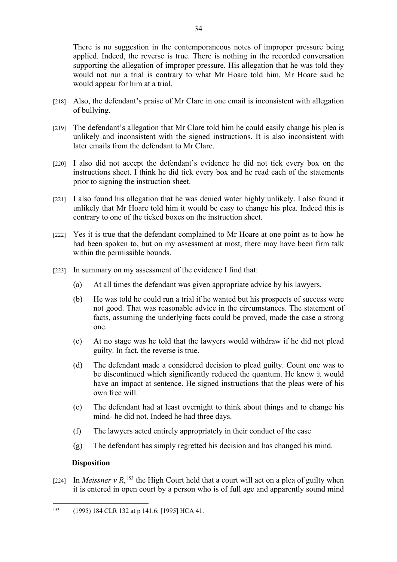There is no suggestion in the contemporaneous notes of improper pressure being applied. Indeed, the reverse is true. There is nothing in the recorded conversation supporting the allegation of improper pressure. His allegation that he was told they would not run a trial is contrary to what Mr Hoare told him. Mr Hoare said he would appear for him at a trial.

- [218] Also, the defendant's praise of Mr Clare in one email is inconsistent with allegation of bullying.
- [219] The defendant's allegation that Mr Clare told him he could easily change his plea is unlikely and inconsistent with the signed instructions. It is also inconsistent with later emails from the defendant to Mr Clare.
- [220] I also did not accept the defendant's evidence he did not tick every box on the instructions sheet. I think he did tick every box and he read each of the statements prior to signing the instruction sheet.
- [221] I also found his allegation that he was denied water highly unlikely. I also found it unlikely that Mr Hoare told him it would be easy to change his plea. Indeed this is contrary to one of the ticked boxes on the instruction sheet.
- [222] Yes it is true that the defendant complained to Mr Hoare at one point as to how he had been spoken to, but on my assessment at most, there may have been firm talk within the permissible bounds.
- [223] In summary on my assessment of the evidence I find that:
	- (a) At all times the defendant was given appropriate advice by his lawyers.
	- (b) He was told he could run a trial if he wanted but his prospects of success were not good. That was reasonable advice in the circumstances. The statement of facts, assuming the underlying facts could be proved, made the case a strong one.
	- (c) At no stage was he told that the lawyers would withdraw if he did not plead guilty. In fact, the reverse is true.
	- (d) The defendant made a considered decision to plead guilty. Count one was to be discontinued which significantly reduced the quantum. He knew it would have an impact at sentence. He signed instructions that the pleas were of his own free will.
	- (e) The defendant had at least overnight to think about things and to change his mind- he did not. Indeed he had three days.
	- (f) The lawyers acted entirely appropriately in their conduct of the case
	- (g) The defendant has simply regretted his decision and has changed his mind.

#### **Disposition**

[224] In *Meissner*  $v R$ ,<sup>153</sup> the High Court held that a court will act on a plea of guilty when it is entered in open court by a person who is of full age and apparently sound mind

<sup>153</sup> (1995) 184 CLR 132 at p 141.6; [1995] HCA 41.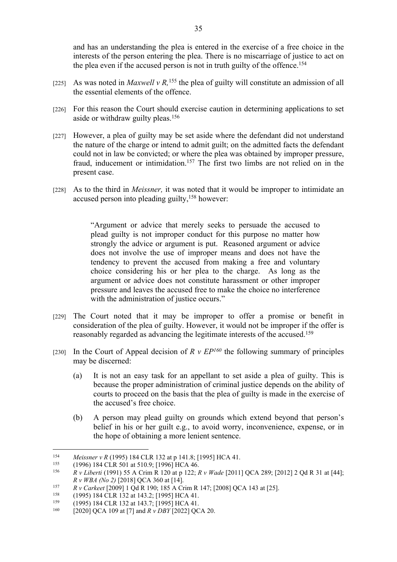and has an understanding the plea is entered in the exercise of a free choice in the interests of the person entering the plea. There is no miscarriage of justice to act on the plea even if the accused person is not in truth guilty of the offence.<sup>154</sup>

- [225] As was noted in *Maxwell v R*,<sup>155</sup> the plea of guilty will constitute an admission of all the essential elements of the offence.
- [226] For this reason the Court should exercise caution in determining applications to set aside or withdraw guilty pleas.<sup>156</sup>
- [227] However, a plea of guilty may be set aside where the defendant did not understand the nature of the charge or intend to admit guilt; on the admitted facts the defendant could not in law be convicted; or where the plea was obtained by improper pressure, fraud, inducement or intimidation.<sup>157</sup> The first two limbs are not relied on in the present case.
- [228] As to the third in *Meissner,* it was noted that it would be improper to intimidate an accused person into pleading guilty,<sup>158</sup> however:

"Argument or advice that merely seeks to persuade the accused to plead guilty is not improper conduct for this purpose no matter how strongly the advice or argument is put. Reasoned argument or advice does not involve the use of improper means and does not have the tendency to prevent the accused from making a free and voluntary choice considering his or her plea to the charge. As long as the argument or advice does not constitute harassment or other improper pressure and leaves the accused free to make the choice no interference with the administration of justice occurs."

- [229] The Court noted that it may be improper to offer a promise or benefit in consideration of the plea of guilty. However, it would not be improper if the offer is reasonably regarded as advancing the legitimate interests of the accused.<sup>159</sup>
- [230] In the Court of Appeal decision of  $R \vee EP^{160}$  the following summary of principles may be discerned:
	- (a) It is not an easy task for an appellant to set aside a plea of guilty. This is because the proper administration of criminal justice depends on the ability of courts to proceed on the basis that the plea of guilty is made in the exercise of the accused's free choice.
	- (b) A person may plead guilty on grounds which extend beyond that person's belief in his or her guilt e.g., to avoid worry, inconvenience, expense, or in the hope of obtaining a more lenient sentence.

<sup>154</sup> *Meissner v R* (1995) 184 CLR 132 at p 141.8; [1995] HCA 41.<br>155 (1996) 184 CLR 501 at 510 0: [1906] HCA 46

<sup>&</sup>lt;sup>155</sup> (1996) 184 CLR 501 at 510.9; [1996] HCA 46.<br><sup>156</sup> P.y. Liberti (1001) 55. A Crim B 120 at p 122. *E* 

<sup>156</sup> *R v Liberti* (1991) 55 A Crim R 120 at p 122; *R v Wade* [2011] QCA 289; [2012] 2 Qd R 31 at [44]; *R v WBA (No 2)* [2018] QCA 360 at [14].

<sup>157</sup> *R v Carkeet* [2009] 1 Qd R 190; 185 A Crim R 147; [2008] QCA 143 at [25].

<sup>&</sup>lt;sup>158</sup> (1995) 184 CLR 132 at 143.2; [1995] HCA 41.<br><sup>159</sup> (1995) 184 CLB 132 at 143.7; [1995] HCA 41.

<sup>159</sup> (1995) 184 CLR 132 at 143.7; [1995] HCA 41.

<sup>160</sup> [2020] QCA 109 at [7] and *R v DBY* [2022] QCA 20.